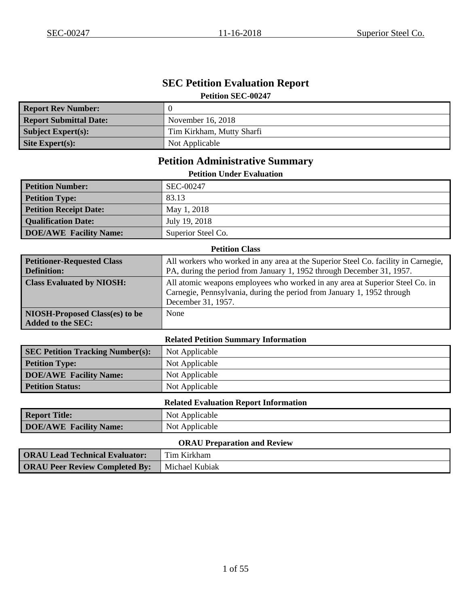# **SEC Petition Evaluation Report**

**Petition SEC-00247**

| <b>Report Rev Number:</b>     |                           |
|-------------------------------|---------------------------|
| <b>Report Submittal Date:</b> | November 16, 2018         |
| <b>Subject Expert(s):</b>     | Tim Kirkham, Mutty Sharfi |
| Site Expert(s):               | Not Applicable            |

### **Petition Administrative Summary**

#### **Petition Under Evaluation**

| <b>Petition Number:</b>       | SEC-00247          |
|-------------------------------|--------------------|
| <b>Petition Type:</b>         | 83.13              |
| <b>Petition Receipt Date:</b> | May 1, 2018        |
| <b>Qualification Date:</b>    | July 19, 2018      |
| <b>DOE/AWE Facility Name:</b> | Superior Steel Co. |

| <b>Petition Class</b>                                             |                                                                                                                                                                              |  |
|-------------------------------------------------------------------|------------------------------------------------------------------------------------------------------------------------------------------------------------------------------|--|
| <b>Petitioner-Requested Class</b><br><b>Definition:</b>           | All workers who worked in any area at the Superior Steel Co. facility in Carnegie,<br>PA, during the period from January 1, 1952 through December 31, 1957.                  |  |
| <b>Class Evaluated by NIOSH:</b>                                  | All atomic weapons employees who worked in any area at Superior Steel Co. in<br>Carnegie, Pennsylvania, during the period from January 1, 1952 through<br>December 31, 1957. |  |
| <b>NIOSH-Proposed Class(es) to be</b><br><b>Added to the SEC:</b> | None                                                                                                                                                                         |  |

|                                         | <b>Related Petition Summary Information</b> |
|-----------------------------------------|---------------------------------------------|
| <b>SEC Petition Tracking Number(s):</b> | Not Applicable                              |
| <b>Petition Type:</b>                   | Not Applicable                              |
| <b>DOE/AWE Facility Name:</b>           | Not Applicable                              |
| <b>Petition Status:</b>                 | Not Applicable                              |

|                               | <b>Related Evaluation Report Information</b> |
|-------------------------------|----------------------------------------------|
| <b>Report Title:</b>          | Not Applicable                               |
| <b>DOE/AWE Facility Name:</b> | Not Applicable                               |

#### **ORAU Preparation and Review**

| <b>ORAU Lead Technical Evaluator:</b> | Tim Kirkham    |
|---------------------------------------|----------------|
| <b>ORAU Peer Review Completed By:</b> | Michael Kubiak |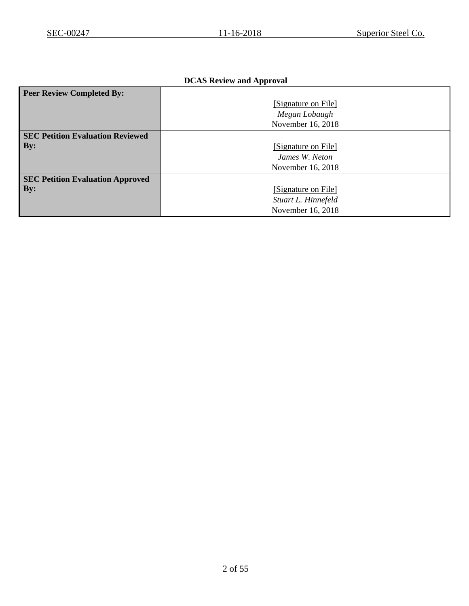| <b>DCAS Review and Approval</b>         |                     |  |
|-----------------------------------------|---------------------|--|
| <b>Peer Review Completed By:</b>        |                     |  |
|                                         | [Signature on File] |  |
|                                         | Megan Lobaugh       |  |
|                                         | November 16, 2018   |  |
| <b>SEC Petition Evaluation Reviewed</b> |                     |  |
| By:                                     | [Signature on File] |  |
|                                         | James W. Neton      |  |
|                                         | November 16, 2018   |  |
| <b>SEC Petition Evaluation Approved</b> |                     |  |
| By:                                     | [Signature on File] |  |
|                                         | Stuart L. Hinnefeld |  |
|                                         | November 16, 2018   |  |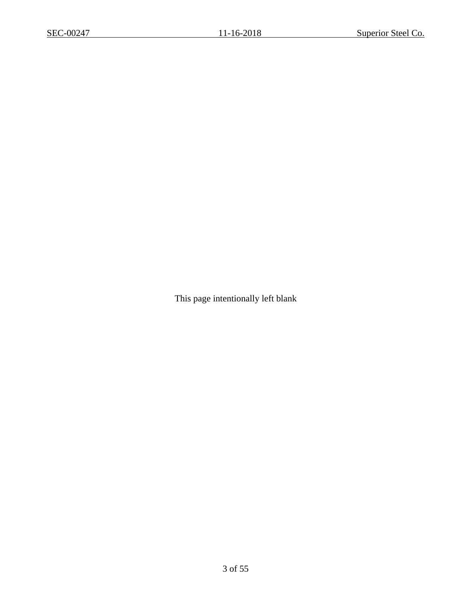This page intentionally left blank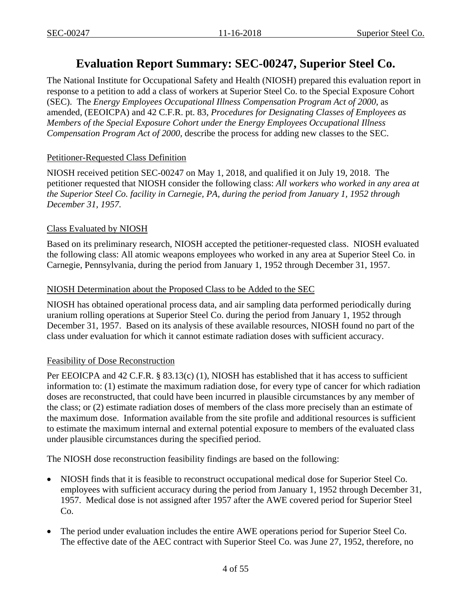# **Evaluation Report Summary: SEC-00247, Superior Steel Co.**

<span id="page-3-0"></span>The National Institute for Occupational Safety and Health (NIOSH) prepared this evaluation report in response to a petition to add a class of workers at Superior Steel Co. to the Special Exposure Cohort (SEC). The *Energy Employees Occupational Illness Compensation Program Act of 2000*, as amended, (EEOICPA) and 42 C.F.R. pt. 83, *Procedures for Designating Classes of Employees as Members of the Special Exposure Cohort under the Energy Employees Occupational Illness Compensation Program Act of 2000,* describe the process for adding new classes to the SEC.

#### Petitioner-Requested Class Definition

NIOSH received petition SEC-00247 on May 1, 2018, and qualified it on July 19, 2018. The petitioner requested that NIOSH consider the following class: *All workers who worked in any area at the Superior Steel Co. facility in Carnegie, PA, during the period from January 1, 1952 through December 31, 1957.* 

#### Class Evaluated by NIOSH

Based on its preliminary research, NIOSH accepted the petitioner-requested class. NIOSH evaluated the following class: All atomic weapons employees who worked in any area at Superior Steel Co. in Carnegie, Pennsylvania, during the period from January 1, 1952 through December 31, 1957.

#### NIOSH Determination about the Proposed Class to be Added to the SEC

NIOSH has obtained operational process data, and air sampling data performed periodically during uranium rolling operations at Superior Steel Co. during the period from January 1, 1952 through December 31, 1957. Based on its analysis of these available resources, NIOSH found no part of the class under evaluation for which it cannot estimate radiation doses with sufficient accuracy.

#### Feasibility of Dose Reconstruction

Per EEOICPA and 42 C.F.R. § 83.13(c) (1), NIOSH has established that it has access to sufficient information to: (1) estimate the maximum radiation dose, for every type of cancer for which radiation doses are reconstructed, that could have been incurred in plausible circumstances by any member of the class; or (2) estimate radiation doses of members of the class more precisely than an estimate of the maximum dose. Information available from the site profile and additional resources is sufficient to estimate the maximum internal and external potential exposure to members of the evaluated class under plausible circumstances during the specified period.

The NIOSH dose reconstruction feasibility findings are based on the following:

- NIOSH finds that it is feasible to reconstruct occupational medical dose for Superior Steel Co. employees with sufficient accuracy during the period from January 1, 1952 through December 31, 1957. Medical dose is not assigned after 1957 after the AWE covered period for Superior Steel Co.
- The period under evaluation includes the entire AWE operations period for Superior Steel Co. The effective date of the AEC contract with Superior Steel Co. was June 27, 1952, therefore, no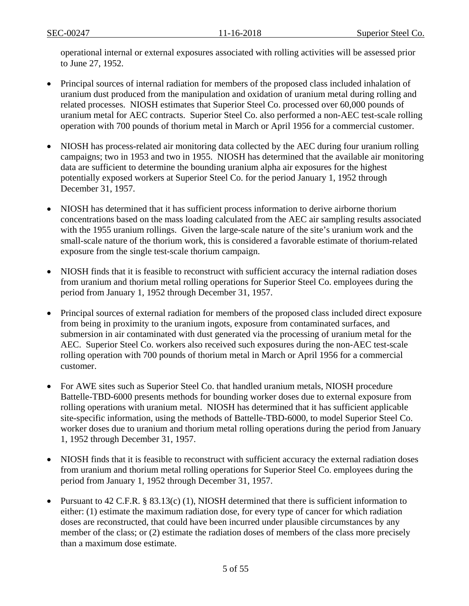operational internal or external exposures associated with rolling activities will be assessed prior to June 27, 1952.

- Principal sources of internal radiation for members of the proposed class included inhalation of uranium dust produced from the manipulation and oxidation of uranium metal during rolling and related processes. NIOSH estimates that Superior Steel Co. processed over 60,000 pounds of uranium metal for AEC contracts. Superior Steel Co. also performed a non-AEC test-scale rolling operation with 700 pounds of thorium metal in March or April 1956 for a commercial customer.
- NIOSH has process-related air monitoring data collected by the AEC during four uranium rolling campaigns; two in 1953 and two in 1955. NIOSH has determined that the available air monitoring data are sufficient to determine the bounding uranium alpha air exposures for the highest potentially exposed workers at Superior Steel Co. for the period January 1, 1952 through December 31, 1957.
- NIOSH has determined that it has sufficient process information to derive airborne thorium concentrations based on the mass loading calculated from the AEC air sampling results associated with the 1955 uranium rollings. Given the large-scale nature of the site's uranium work and the small-scale nature of the thorium work, this is considered a favorable estimate of thorium-related exposure from the single test-scale thorium campaign.
- NIOSH finds that it is feasible to reconstruct with sufficient accuracy the internal radiation doses from uranium and thorium metal rolling operations for Superior Steel Co. employees during the period from January 1, 1952 through December 31, 1957.
- Principal sources of external radiation for members of the proposed class included direct exposure from being in proximity to the uranium ingots, exposure from contaminated surfaces, and submersion in air contaminated with dust generated via the processing of uranium metal for the AEC. Superior Steel Co. workers also received such exposures during the non-AEC test-scale rolling operation with 700 pounds of thorium metal in March or April 1956 for a commercial customer.
- For AWE sites such as Superior Steel Co. that handled uranium metals, NIOSH procedure Battelle-TBD-6000 presents methods for bounding worker doses due to external exposure from rolling operations with uranium metal. NIOSH has determined that it has sufficient applicable site-specific information, using the methods of Battelle-TBD-6000, to model Superior Steel Co. worker doses due to uranium and thorium metal rolling operations during the period from January 1, 1952 through December 31, 1957.
- NIOSH finds that it is feasible to reconstruct with sufficient accuracy the external radiation doses from uranium and thorium metal rolling operations for Superior Steel Co. employees during the period from January 1, 1952 through December 31, 1957.
- Pursuant to 42 C.F.R. § 83.13(c) (1), NIOSH determined that there is sufficient information to either: (1) estimate the maximum radiation dose, for every type of cancer for which radiation doses are reconstructed, that could have been incurred under plausible circumstances by any member of the class; or (2) estimate the radiation doses of members of the class more precisely than a maximum dose estimate.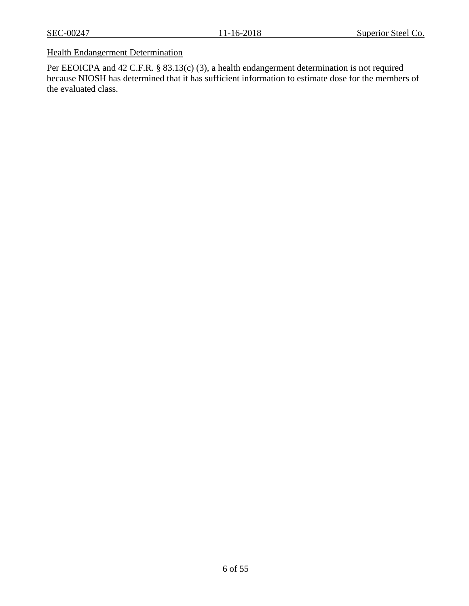#### Health Endangerment Determination

Per EEOICPA and 42 C.F.R. § 83.13(c) (3), a health endangerment determination is not required because NIOSH has determined that it has sufficient information to estimate dose for the members of the evaluated class.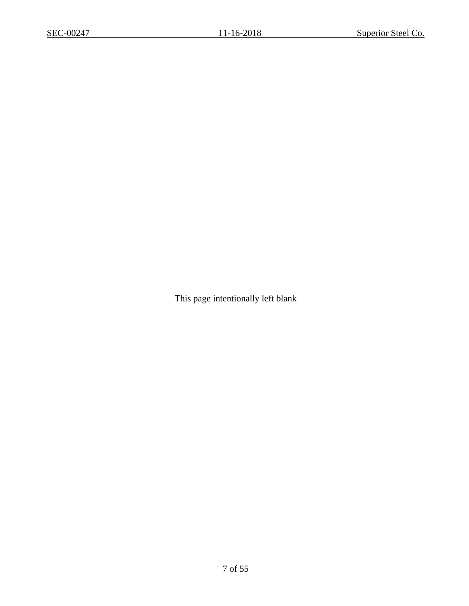This page intentionally left blank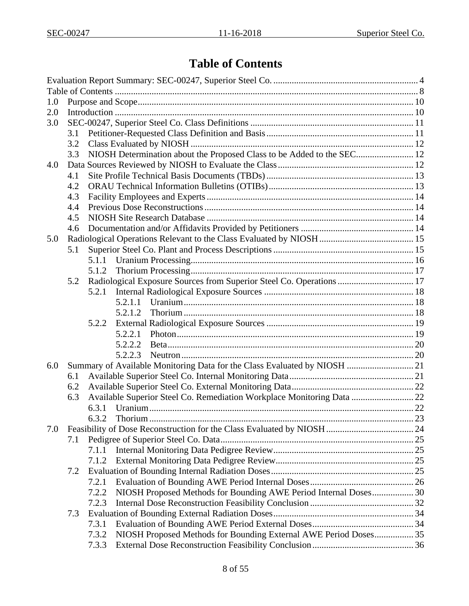# **Table of Contents**

<span id="page-7-0"></span>

| 1.0 |     |       |                                                                           |  |
|-----|-----|-------|---------------------------------------------------------------------------|--|
| 2.0 |     |       |                                                                           |  |
| 3.0 |     |       |                                                                           |  |
|     | 3.1 |       |                                                                           |  |
|     | 3.2 |       |                                                                           |  |
|     | 3.3 |       | NIOSH Determination about the Proposed Class to be Added to the SEC 12    |  |
| 4.0 |     |       |                                                                           |  |
|     | 4.1 |       |                                                                           |  |
|     | 4.2 |       |                                                                           |  |
|     | 4.3 |       |                                                                           |  |
|     | 4.4 |       |                                                                           |  |
|     | 4.5 |       |                                                                           |  |
|     | 4.6 |       |                                                                           |  |
| 5.0 |     |       |                                                                           |  |
|     | 5.1 |       |                                                                           |  |
|     |     |       |                                                                           |  |
|     |     | 5.1.2 |                                                                           |  |
|     | 5.2 |       | Radiological Exposure Sources from Superior Steel Co. Operations  17      |  |
|     |     | 5.2.1 |                                                                           |  |
|     |     |       |                                                                           |  |
|     |     |       | 5.2.1.2                                                                   |  |
|     |     | 5.2.2 |                                                                           |  |
|     |     |       | 5.2.2.1                                                                   |  |
|     |     |       | 5.2.2.2                                                                   |  |
|     |     |       | 5.2.2.3                                                                   |  |
| 6.0 |     |       | Summary of Available Monitoring Data for the Class Evaluated by NIOSH  21 |  |
|     | 6.1 |       |                                                                           |  |
|     | 6.2 |       |                                                                           |  |
|     | 6.3 |       | Available Superior Steel Co. Remediation Workplace Monitoring Data  22    |  |
|     |     |       |                                                                           |  |
|     |     |       |                                                                           |  |
| 7.0 |     |       |                                                                           |  |
|     | 7.1 |       |                                                                           |  |
|     |     | 7.1.1 |                                                                           |  |
|     |     | 7.1.2 |                                                                           |  |
|     | 7.2 |       |                                                                           |  |
|     |     | 7.2.1 |                                                                           |  |
|     |     | 7.2.2 | NIOSH Proposed Methods for Bounding AWE Period Internal Doses 30          |  |
|     |     | 7.2.3 |                                                                           |  |
|     | 7.3 |       |                                                                           |  |
|     |     | 7.3.1 |                                                                           |  |
|     |     | 7.3.2 | NIOSH Proposed Methods for Bounding External AWE Period Doses 35          |  |
|     |     | 7.3.3 |                                                                           |  |
|     |     |       |                                                                           |  |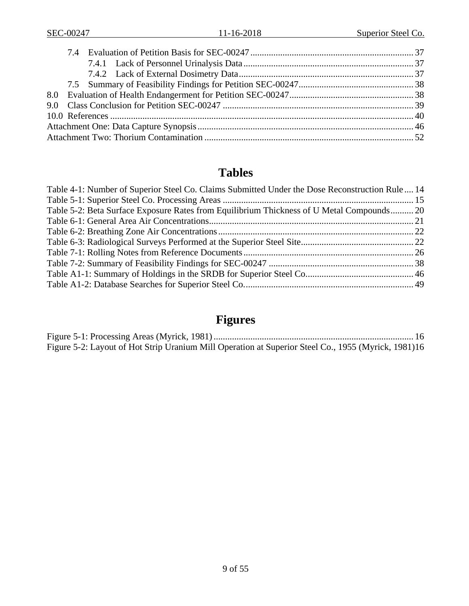# **Tables**

| Table 4-1: Number of Superior Steel Co. Claims Submitted Under the Dose Reconstruction Rule 14 |  |
|------------------------------------------------------------------------------------------------|--|
|                                                                                                |  |
| Table 5-2: Beta Surface Exposure Rates from Equilibrium Thickness of U Metal Compounds 20      |  |
|                                                                                                |  |
|                                                                                                |  |
|                                                                                                |  |
|                                                                                                |  |
|                                                                                                |  |
|                                                                                                |  |
|                                                                                                |  |

# **Figures**

| Figure 5-2: Layout of Hot Strip Uranium Mill Operation at Superior Steel Co., 1955 (Myrick, 1981)16 |  |
|-----------------------------------------------------------------------------------------------------|--|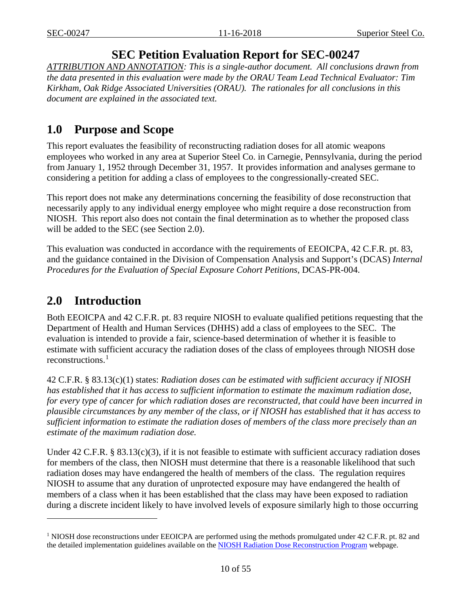# **SEC Petition Evaluation Report for SEC-00247**

*ATTRIBUTION AND ANNOTATION: This is a single-author document. All conclusions drawn from the data presented in this evaluation were made by the ORAU Team Lead Technical Evaluator: Tim Kirkham, Oak Ridge Associated Universities (ORAU). The rationales for all conclusions in this document are explained in the associated text.*

# <span id="page-9-0"></span>**1.0 Purpose and Scope**

This report evaluates the feasibility of reconstructing radiation doses for all atomic weapons employees who worked in any area at Superior Steel Co. in Carnegie, Pennsylvania, during the period from January 1, 1952 through December 31, 1957. It provides information and analyses germane to considering a petition for adding a class of employees to the congressionally-created SEC.

This report does not make any determinations concerning the feasibility of dose reconstruction that necessarily apply to any individual energy employee who might require a dose reconstruction from NIOSH. This report also does not contain the final determination as to whether the proposed class will be added to the SEC (see Section 2.0).

This evaluation was conducted in accordance with the requirements of EEOICPA, 42 C.F.R. pt. 83, and the guidance contained in the Division of Compensation Analysis and Support's (DCAS) *Internal Procedures for the Evaluation of Special Exposure Cohort Petitions*, DCAS-PR-004.

# <span id="page-9-1"></span>**2.0 Introduction**

Both EEOICPA and 42 C.F.R. pt. 83 require NIOSH to evaluate qualified petitions requesting that the Department of Health and Human Services (DHHS) add a class of employees to the SEC. The evaluation is intended to provide a fair, science-based determination of whether it is feasible to estimate with sufficient accuracy the radiation doses of the class of employees through NIOSH dose reconstructions.<sup>1</sup>

42 C.F.R. § 83.13(c)(1) states: *Radiation doses can be estimated with sufficient accuracy if NIOSH has established that it has access to sufficient information to estimate the maximum radiation dose, for every type of cancer for which radiation doses are reconstructed, that could have been incurred in plausible circumstances by any member of the class, or if NIOSH has established that it has access to sufficient information to estimate the radiation doses of members of the class more precisely than an estimate of the maximum radiation dose.*

Under 42 C.F.R. § 83.13(c)(3), if it is not feasible to estimate with sufficient accuracy radiation doses for members of the class, then NIOSH must determine that there is a reasonable likelihood that such radiation doses may have endangered the health of members of the class. The regulation requires NIOSH to assume that any duration of unprotected exposure may have endangered the health of members of a class when it has been established that the class may have been exposed to radiation during a discrete incident likely to have involved levels of exposure similarly high to those occurring

<sup>1</sup> NIOSH dose reconstructions under EEOICPA are performed using the methods promulgated under 42 C.F.R. pt. 82 and the detailed implementation guidelines available on th[e NIOSH Radiation Dose Reconstruction Program](http://www.cdc.gov/niosh/ocas/) webpage.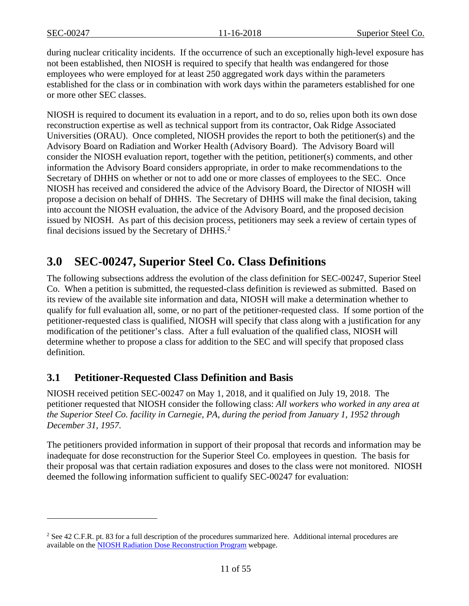during nuclear criticality incidents. If the occurrence of such an exceptionally high-level exposure has not been established, then NIOSH is required to specify that health was endangered for those employees who were employed for at least 250 aggregated work days within the parameters established for the class or in combination with work days within the parameters established for one or more other SEC classes.

NIOSH is required to document its evaluation in a report, and to do so, relies upon both its own dose reconstruction expertise as well as technical support from its contractor, Oak Ridge Associated Universities (ORAU). Once completed, NIOSH provides the report to both the petitioner(s) and the Advisory Board on Radiation and Worker Health (Advisory Board). The Advisory Board will consider the NIOSH evaluation report, together with the petition, petitioner(s) comments, and other information the Advisory Board considers appropriate, in order to make recommendations to the Secretary of DHHS on whether or not to add one or more classes of employees to the SEC. Once NIOSH has received and considered the advice of the Advisory Board, the Director of NIOSH will propose a decision on behalf of DHHS. The Secretary of DHHS will make the final decision, taking into account the NIOSH evaluation, the advice of the Advisory Board, and the proposed decision issued by NIOSH. As part of this decision process, petitioners may seek a review of certain types of final decisions issued by the Secretary of DHHS.<sup>2</sup>

# <span id="page-10-0"></span>**3.0 SEC-00247, Superior Steel Co. Class Definitions**

The following subsections address the evolution of the class definition for SEC-00247, Superior Steel Co. When a petition is submitted, the requested-class definition is reviewed as submitted. Based on its review of the available site information and data, NIOSH will make a determination whether to qualify for full evaluation all, some, or no part of the petitioner-requested class. If some portion of the petitioner-requested class is qualified, NIOSH will specify that class along with a justification for any modification of the petitioner's class. After a full evaluation of the qualified class, NIOSH will determine whether to propose a class for addition to the SEC and will specify that proposed class definition.

### <span id="page-10-1"></span>**3.1 Petitioner-Requested Class Definition and Basis**

NIOSH received petition SEC-00247 on May 1, 2018, and it qualified on July 19, 2018. The petitioner requested that NIOSH consider the following class: *All workers who worked in any area at the Superior Steel Co. facility in Carnegie, PA, during the period from January 1, 1952 through December 31, 1957.* 

The petitioners provided information in support of their proposal that records and information may be inadequate for dose reconstruction for the Superior Steel Co. employees in question. The basis for their proposal was that certain radiation exposures and doses to the class were not monitored. NIOSH deemed the following information sufficient to qualify SEC-00247 for evaluation:

<sup>&</sup>lt;sup>2</sup> See 42 C.F.R. pt. 83 for a full description of the procedures summarized here. Additional internal procedures are available on the [NIOSH Radiation Dose Reconstruction Program](http://www.cdc.gov/niosh/ocas/) webpage.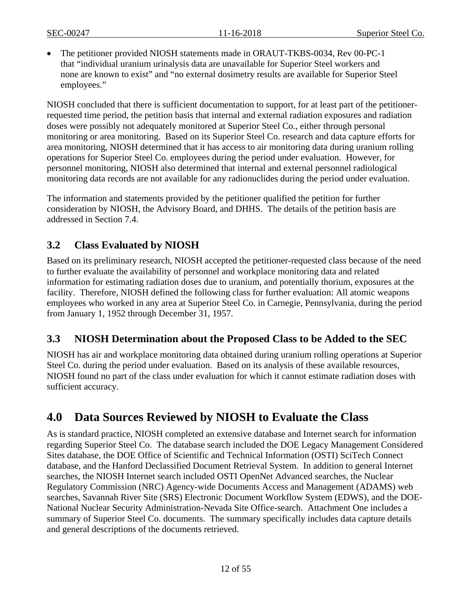• The petitioner provided NIOSH statements made in ORAUT-TKBS-0034, Rev 00-PC-1 that "individual uranium urinalysis data are unavailable for Superior Steel workers and none are known to exist" and "no external dosimetry results are available for Superior Steel employees."

NIOSH concluded that there is sufficient documentation to support, for at least part of the petitionerrequested time period, the petition basis that internal and external radiation exposures and radiation doses were possibly not adequately monitored at Superior Steel Co., either through personal monitoring or area monitoring. Based on its Superior Steel Co. research and data capture efforts for area monitoring, NIOSH determined that it has access to air monitoring data during uranium rolling operations for Superior Steel Co. employees during the period under evaluation. However, for personnel monitoring, NIOSH also determined that internal and external personnel radiological monitoring data records are not available for any radionuclides during the period under evaluation.

The information and statements provided by the petitioner qualified the petition for further consideration by NIOSH, the Advisory Board, and DHHS. The details of the petition basis are addressed in Section 7.4.

### <span id="page-11-0"></span>**3.2 Class Evaluated by NIOSH**

Based on its preliminary research, NIOSH accepted the petitioner-requested class because of the need to further evaluate the availability of personnel and workplace monitoring data and related information for estimating radiation doses due to uranium, and potentially thorium, exposures at the facility. Therefore, NIOSH defined the following class for further evaluation: All atomic weapons employees who worked in any area at Superior Steel Co. in Carnegie, Pennsylvania, during the period from January 1, 1952 through December 31, 1957.

### <span id="page-11-1"></span>**3.3 NIOSH Determination about the Proposed Class to be Added to the SEC**

NIOSH has air and workplace monitoring data obtained during uranium rolling operations at Superior Steel Co. during the period under evaluation. Based on its analysis of these available resources, NIOSH found no part of the class under evaluation for which it cannot estimate radiation doses with sufficient accuracy.

# <span id="page-11-2"></span>**4.0 Data Sources Reviewed by NIOSH to Evaluate the Class**

As is standard practice, NIOSH completed an extensive database and Internet search for information regarding Superior Steel Co. The database search included the DOE Legacy Management Considered Sites database, the DOE Office of Scientific and Technical Information (OSTI) SciTech Connect database, and the Hanford Declassified Document Retrieval System. In addition to general Internet searches, the NIOSH Internet search included OSTI OpenNet Advanced searches, the Nuclear Regulatory Commission (NRC) Agency-wide Documents Access and Management (ADAMS) web searches, Savannah River Site (SRS) Electronic Document Workflow System (EDWS), and the DOE-National Nuclear Security Administration-Nevada Site Office-search. Attachment One includes a summary of Superior Steel Co. documents. The summary specifically includes data capture details and general descriptions of the documents retrieved.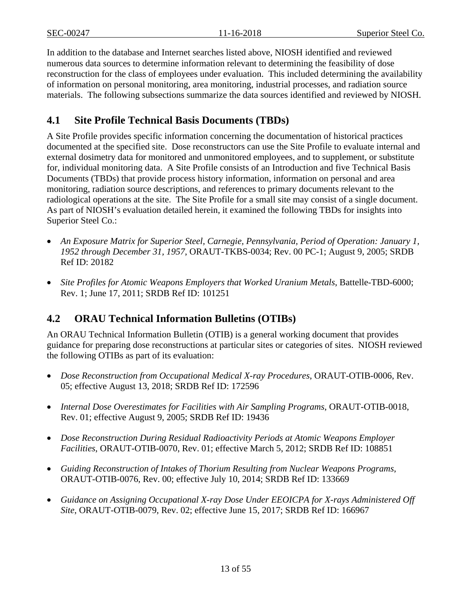In addition to the database and Internet searches listed above, NIOSH identified and reviewed numerous data sources to determine information relevant to determining the feasibility of dose reconstruction for the class of employees under evaluation. This included determining the availability of information on personal monitoring, area monitoring, industrial processes, and radiation source materials. The following subsections summarize the data sources identified and reviewed by NIOSH.

### <span id="page-12-0"></span>**4.1 Site Profile Technical Basis Documents (TBDs)**

A Site Profile provides specific information concerning the documentation of historical practices documented at the specified site. Dose reconstructors can use the Site Profile to evaluate internal and external dosimetry data for monitored and unmonitored employees, and to supplement, or substitute for, individual monitoring data. A Site Profile consists of an Introduction and five Technical Basis Documents (TBDs) that provide process history information, information on personal and area monitoring, radiation source descriptions, and references to primary documents relevant to the radiological operations at the site. The Site Profile for a small site may consist of a single document. As part of NIOSH's evaluation detailed herein, it examined the following TBDs for insights into Superior Steel Co.:

- *An Exposure Matrix for Superior Steel, Carnegie, Pennsylvania, Period of Operation: January 1, 1952 through December 31, 1957*, ORAUT-TKBS-0034; Rev. 00 PC-1; August 9, 2005; SRDB Ref ID: 20182
- *Site Profiles for Atomic Weapons Employers that Worked Uranium Metals*, Battelle-TBD-6000; Rev. 1; June 17, 2011; SRDB Ref ID: 101251

### <span id="page-12-1"></span>**4.2 ORAU Technical Information Bulletins (OTIBs)**

An ORAU Technical Information Bulletin (OTIB) is a general working document that provides guidance for preparing dose reconstructions at particular sites or categories of sites. NIOSH reviewed the following OTIBs as part of its evaluation:

- *Dose Reconstruction from Occupational Medical X-ray Procedures*, ORAUT-OTIB-0006, Rev. 05; effective August 13, 2018; SRDB Ref ID: 172596
- *Internal Dose Overestimates for Facilities with Air Sampling Programs*, ORAUT-OTIB-0018, Rev. 01; effective August 9, 2005; SRDB Ref ID: 19436
- *Dose Reconstruction During Residual Radioactivity Periods at Atomic Weapons Employer Facilities*, ORAUT-OTIB-0070, Rev. 01; effective March 5, 2012; SRDB Ref ID: 108851
- *Guiding Reconstruction of Intakes of Thorium Resulting from Nuclear Weapons Programs*, ORAUT-OTIB-0076, Rev. 00; effective July 10, 2014; SRDB Ref ID: 133669
- *Guidance on Assigning Occupational X-ray Dose Under EEOICPA for X-rays Administered Off Site*, ORAUT-OTIB-0079, Rev. 02; effective June 15, 2017; SRDB Ref ID: 166967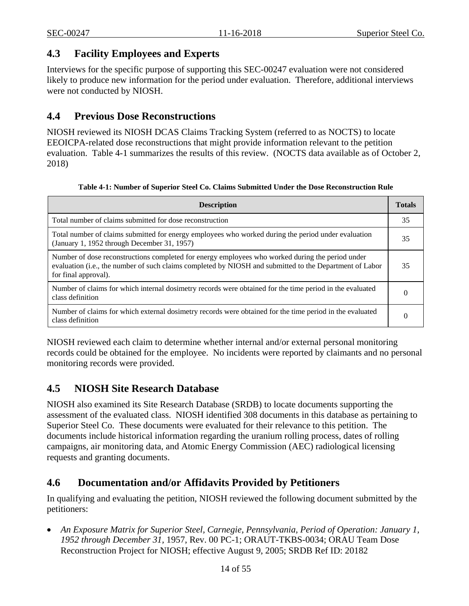### <span id="page-13-0"></span>**4.3 Facility Employees and Experts**

Interviews for the specific purpose of supporting this SEC-00247 evaluation were not considered likely to produce new information for the period under evaluation. Therefore, additional interviews were not conducted by NIOSH.

#### <span id="page-13-1"></span>**4.4 Previous Dose Reconstructions**

NIOSH reviewed its NIOSH DCAS Claims Tracking System (referred to as NOCTS) to locate EEOICPA-related dose reconstructions that might provide information relevant to the petition evaluation. Table 4-1 summarizes the results of this review. (NOCTS data available as of October 2, 2018)

<span id="page-13-4"></span>

| <b>Description</b>                                                                                                                                                                                                                  | <b>Totals</b> |
|-------------------------------------------------------------------------------------------------------------------------------------------------------------------------------------------------------------------------------------|---------------|
| Total number of claims submitted for dose reconstruction                                                                                                                                                                            | 35            |
| Total number of claims submitted for energy employees who worked during the period under evaluation<br>(January 1, 1952 through December 31, 1957)                                                                                  | 35            |
| Number of dose reconstructions completed for energy employees who worked during the period under<br>evaluation (i.e., the number of such claims completed by NIOSH and submitted to the Department of Labor<br>for final approval). | 35            |
| Number of claims for which internal dosimetry records were obtained for the time period in the evaluated<br>class definition                                                                                                        | O             |
| Number of claims for which external dosimetry records were obtained for the time period in the evaluated<br>class definition                                                                                                        |               |

NIOSH reviewed each claim to determine whether internal and/or external personal monitoring records could be obtained for the employee. No incidents were reported by claimants and no personal monitoring records were provided.

### <span id="page-13-2"></span>**4.5 NIOSH Site Research Database**

NIOSH also examined its Site Research Database (SRDB) to locate documents supporting the assessment of the evaluated class. NIOSH identified 308 documents in this database as pertaining to Superior Steel Co. These documents were evaluated for their relevance to this petition. The documents include historical information regarding the uranium rolling process, dates of rolling campaigns, air monitoring data, and Atomic Energy Commission (AEC) radiological licensing requests and granting documents.

### <span id="page-13-3"></span>**4.6 Documentation and/or Affidavits Provided by Petitioners**

In qualifying and evaluating the petition, NIOSH reviewed the following document submitted by the petitioners:

• *An Exposure Matrix for Superior Steel, Carnegie, Pennsylvania, Period of Operation: January 1, 1952 through December 31,* 1957, Rev. 00 PC-1; ORAUT-TKBS-0034; ORAU Team Dose Reconstruction Project for NIOSH; effective August 9, 2005; SRDB Ref ID: 20182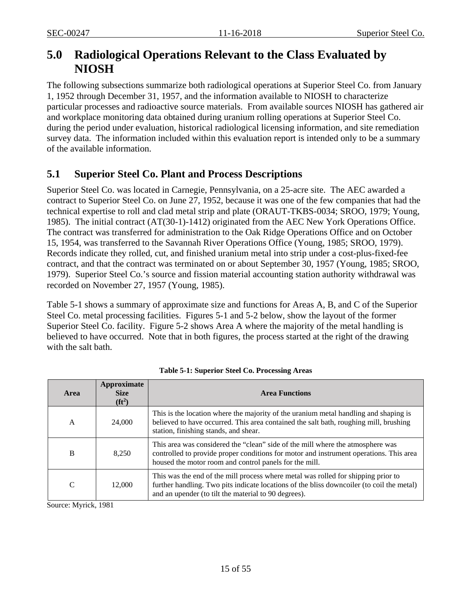# <span id="page-14-0"></span>**5.0 Radiological Operations Relevant to the Class Evaluated by NIOSH**

The following subsections summarize both radiological operations at Superior Steel Co. from January 1, 1952 through December 31, 1957, and the information available to NIOSH to characterize particular processes and radioactive source materials. From available sources NIOSH has gathered air and workplace monitoring data obtained during uranium rolling operations at Superior Steel Co. during the period under evaluation, historical radiological licensing information, and site remediation survey data. The information included within this evaluation report is intended only to be a summary of the available information.

### <span id="page-14-1"></span>**5.1 Superior Steel Co. Plant and Process Descriptions**

Superior Steel Co. was located in Carnegie, Pennsylvania, on a 25-acre site. The AEC awarded a contract to Superior Steel Co. on June 27, 1952, because it was one of the few companies that had the technical expertise to roll and clad metal strip and plate (ORAUT-TKBS-0034; SROO, 1979; Young, 1985). The initial contract (AT(30-1)-1412) originated from the AEC New York Operations Office. The contract was transferred for administration to the Oak Ridge Operations Office and on October 15, 1954, was transferred to the Savannah River Operations Office (Young, 1985; SROO, 1979). Records indicate they rolled, cut, and finished uranium metal into strip under a cost-plus-fixed-fee contract, and that the contract was terminated on or about September 30, 1957 (Young, 1985; SROO, 1979). Superior Steel Co.'s source and fission material accounting station authority withdrawal was recorded on November 27, 1957 (Young, 1985).

Table 5-1 shows a summary of approximate size and functions for Areas A, B, and C of the Superior Steel Co. metal processing facilities. Figures 5-1 and 5-2 below, show the layout of the former Superior Steel Co. facility. Figure 5-2 shows Area A where the majority of the metal handling is believed to have occurred. Note that in both figures, the process started at the right of the drawing with the salt bath.

<span id="page-14-2"></span>

| <b>Area</b>  | <b>Approximate</b><br><b>Size</b><br>$(f t^2)$ | <b>Area Functions</b>                                                                                                                                                                                                                  |
|--------------|------------------------------------------------|----------------------------------------------------------------------------------------------------------------------------------------------------------------------------------------------------------------------------------------|
| $\mathsf{A}$ | 24,000                                         | This is the location where the majority of the uranium metal handling and shaping is<br>believed to have occurred. This area contained the salt bath, roughing mill, brushing<br>station, finishing stands, and shear.                 |
| B            | 8,250                                          | This area was considered the "clean" side of the mill where the atmosphere was<br>controlled to provide proper conditions for motor and instrument operations. This area<br>housed the motor room and control panels for the mill.     |
| C            | 12,000                                         | This was the end of the mill process where metal was rolled for shipping prior to<br>further handling. Two pits indicate locations of the bliss downcoiler (to coil the metal)<br>and an upender (to tilt the material to 90 degrees). |

**Table 5-1: Superior Steel Co. Processing Areas**

Source: Myrick, 1981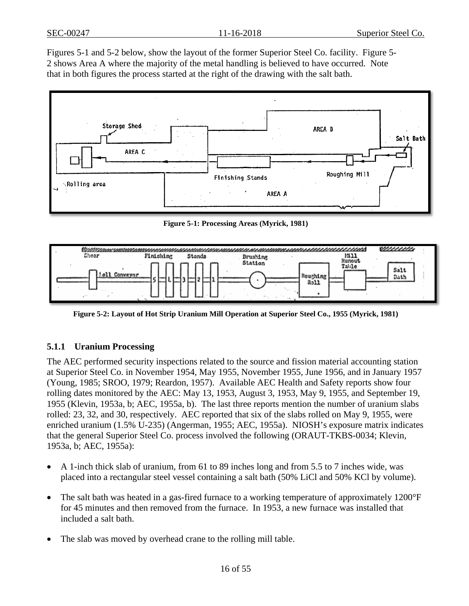Figures 5-1 and 5-2 below, show the layout of the former Superior Steel Co. facility. Figure 5- 2 shows Area A where the majority of the metal handling is believed to have occurred. Note that in both figures the process started at the right of the drawing with the salt bath.



**Figure 5-1: Processing Areas (Myrick, 1981)**

<span id="page-15-1"></span>

<span id="page-15-2"></span>**Figure 5-2: Layout of Hot Strip Uranium Mill Operation at Superior Steel Co., 1955 (Myrick, 1981)** 

#### <span id="page-15-0"></span>**5.1.1 Uranium Processing**

The AEC performed security inspections related to the source and fission material accounting station at Superior Steel Co. in November 1954, May 1955, November 1955, June 1956, and in January 1957 (Young, 1985; SROO, 1979; Reardon, 1957). Available AEC Health and Safety reports show four rolling dates monitored by the AEC: May 13, 1953, August 3, 1953, May 9, 1955, and September 19, 1955 (Klevin, 1953a, b; AEC, 1955a, b). The last three reports mention the number of uranium slabs rolled: 23, 32, and 30, respectively. AEC reported that six of the slabs rolled on May 9, 1955, were enriched uranium (1.5% U-235) (Angerman, 1955; AEC, 1955a). NIOSH's exposure matrix indicates that the general Superior Steel Co. process involved the following (ORAUT-TKBS-0034; Klevin, 1953a, b; AEC, 1955a):

- A 1-inch thick slab of uranium, from 61 to 89 inches long and from 5.5 to 7 inches wide, was placed into a rectangular steel vessel containing a salt bath (50% LiCl and 50% KCl by volume).
- The salt bath was heated in a gas-fired furnace to a working temperature of approximately 1200°F for 45 minutes and then removed from the furnace. In 1953, a new furnace was installed that included a salt bath.
- The slab was moved by overhead crane to the rolling mill table.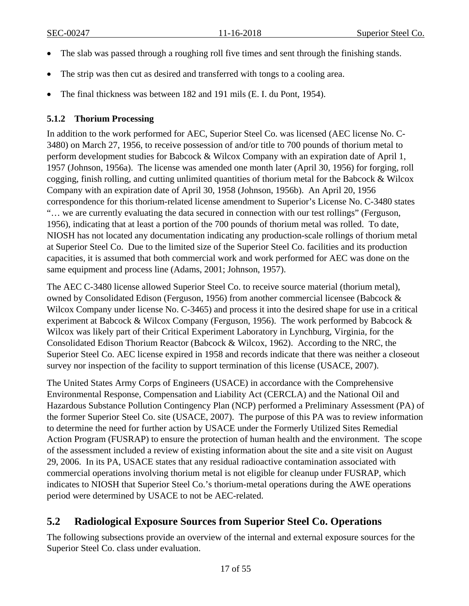- The slab was passed through a roughing roll five times and sent through the finishing stands.
- The strip was then cut as desired and transferred with tongs to a cooling area.
- The final thickness was between 182 and 191 mils (E. I. du Pont, 1954).

#### <span id="page-16-0"></span>**5.1.2 Thorium Processing**

In addition to the work performed for AEC, Superior Steel Co. was licensed (AEC license No. C-3480) on March 27, 1956, to receive possession of and/or title to 700 pounds of thorium metal to perform development studies for Babcock & Wilcox Company with an expiration date of April 1, 1957 (Johnson, 1956a). The license was amended one month later (April 30, 1956) for forging, roll cogging, finish rolling, and cutting unlimited quantities of thorium metal for the Babcock & Wilcox Company with an expiration date of April 30, 1958 (Johnson, 1956b). An April 20, 1956 correspondence for this thorium-related license amendment to Superior's License No. C-3480 states "… we are currently evaluating the data secured in connection with our test rollings" (Ferguson, 1956), indicating that at least a portion of the 700 pounds of thorium metal was rolled. To date, NIOSH has not located any documentation indicating any production-scale rollings of thorium metal at Superior Steel Co. Due to the limited size of the Superior Steel Co. facilities and its production capacities, it is assumed that both commercial work and work performed for AEC was done on the same equipment and process line (Adams, 2001; Johnson, 1957).

The AEC C-3480 license allowed Superior Steel Co. to receive source material (thorium metal), owned by Consolidated Edison (Ferguson, 1956) from another commercial licensee (Babcock & Wilcox Company under license No. C-3465) and process it into the desired shape for use in a critical experiment at Babcock & Wilcox Company (Ferguson, 1956). The work performed by Babcock & Wilcox was likely part of their Critical Experiment Laboratory in Lynchburg, Virginia, for the Consolidated Edison Thorium Reactor (Babcock & Wilcox, 1962). According to the NRC, the Superior Steel Co. AEC license expired in 1958 and records indicate that there was neither a closeout survey nor inspection of the facility to support termination of this license (USACE, 2007).

The United States Army Corps of Engineers (USACE) in accordance with the Comprehensive Environmental Response, Compensation and Liability Act (CERCLA) and the National Oil and Hazardous Substance Pollution Contingency Plan (NCP) performed a Preliminary Assessment (PA) of the former Superior Steel Co. site (USACE, 2007). The purpose of this PA was to review information to determine the need for further action by USACE under the Formerly Utilized Sites Remedial Action Program (FUSRAP) to ensure the protection of human health and the environment. The scope of the assessment included a review of existing information about the site and a site visit on August 29, 2006. In its PA, USACE states that any residual radioactive contamination associated with commercial operations involving thorium metal is not eligible for cleanup under FUSRAP, which indicates to NIOSH that Superior Steel Co.'s thorium-metal operations during the AWE operations period were determined by USACE to not be AEC-related.

### <span id="page-16-1"></span>**5.2 Radiological Exposure Sources from Superior Steel Co. Operations**

The following subsections provide an overview of the internal and external exposure sources for the Superior Steel Co. class under evaluation.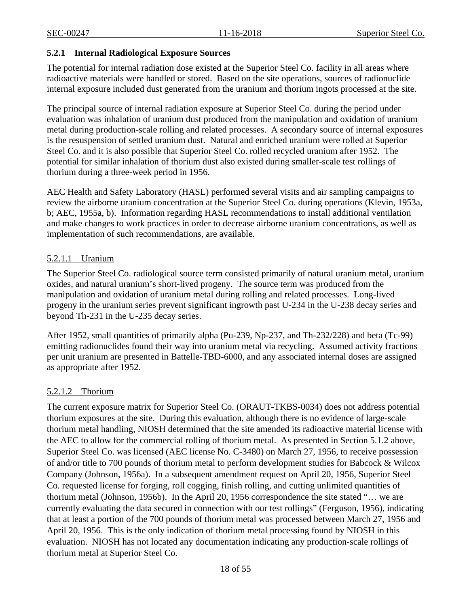#### <span id="page-17-0"></span>**5.2.1 Internal Radiological Exposure Sources**

The potential for internal radiation dose existed at the Superior Steel Co. facility in all areas where radioactive materials were handled or stored. Based on the site operations, sources of radionuclide internal exposure included dust generated from the uranium and thorium ingots processed at the site.

The principal source of internal radiation exposure at Superior Steel Co. during the period under evaluation was inhalation of uranium dust produced from the manipulation and oxidation of uranium metal during production-scale rolling and related processes. A secondary source of internal exposures is the resuspension of settled uranium dust. Natural and enriched uranium were rolled at Superior Steel Co. and it is also possible that Superior Steel Co. rolled recycled uranium after 1952. The potential for similar inhalation of thorium dust also existed during smaller-scale test rollings of thorium during a three-week period in 1956.

AEC Health and Safety Laboratory (HASL) performed several visits and air sampling campaigns to review the airborne uranium concentration at the Superior Steel Co. during operations (Klevin, 1953a, b; AEC, 1955a, b). Information regarding HASL recommendations to install additional ventilation and make changes to work practices in order to decrease airborne uranium concentrations, as well as implementation of such recommendations, are available.

#### <span id="page-17-1"></span>5.2.1.1 Uranium

The Superior Steel Co. radiological source term consisted primarily of natural uranium metal, uranium oxides, and natural uranium's short-lived progeny. The source term was produced from the manipulation and oxidation of uranium metal during rolling and related processes. Long-lived progeny in the uranium series prevent significant ingrowth past U-234 in the U-238 decay series and beyond Th-231 in the U-235 decay series.

After 1952, small quantities of primarily alpha (Pu-239, Np-237, and Th-232/228) and beta (Tc-99) emitting radionuclides found their way into uranium metal via recycling. Assumed activity fractions per unit uranium are presented in Battelle-TBD-6000, and any associated internal doses are assigned as appropriate after 1952.

#### <span id="page-17-2"></span>5.2.1.2 Thorium

The current exposure matrix for Superior Steel Co. (ORAUT-TKBS-0034) does not address potential thorium exposures at the site. During this evaluation, although there is no evidence of large-scale thorium metal handling, NIOSH determined that the site amended its radioactive material license with the AEC to allow for the commercial rolling of thorium metal. As presented in Section 5.1.2 above, Superior Steel Co. was licensed (AEC license No. C-3480) on March 27, 1956, to receive possession of and/or title to 700 pounds of thorium metal to perform development studies for Babcock & Wilcox Company (Johnson, 1956a). In a subsequent amendment request on April 20, 1956, Superior Steel Co. requested license for forging, roll cogging, finish rolling, and cutting unlimited quantities of thorium metal (Johnson, 1956b). In the April 20, 1956 correspondence the site stated "… we are currently evaluating the data secured in connection with our test rollings" (Ferguson, 1956), indicating that at least a portion of the 700 pounds of thorium metal was processed between March 27, 1956 and April 20, 1956. This is the only indication of thorium metal processing found by NIOSH in this evaluation. NIOSH has not located any documentation indicating any production-scale rollings of thorium metal at Superior Steel Co.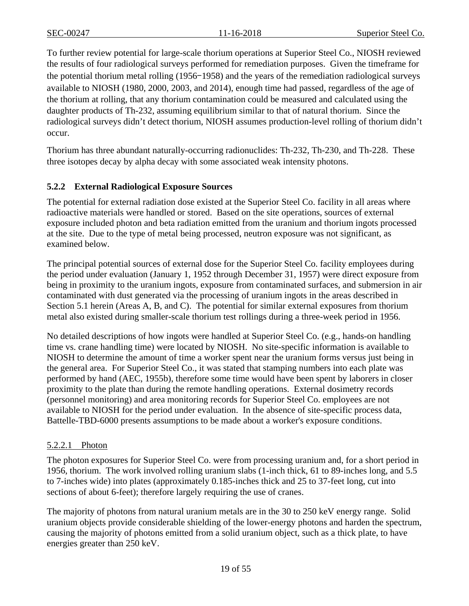| SEC-00247 | $11 - 16 - 2018$                                                                                      | Superior Steel Co. |
|-----------|-------------------------------------------------------------------------------------------------------|--------------------|
|           |                                                                                                       |                    |
|           | To further review potential for large-scale thorium operations at Superior Steel Co., NIOSH reviewed  |                    |
|           | the results of four radiological surveys performed for remediation purposes. Given the timeframe for  |                    |
|           | the potential thorium metal rolling (1956–1958) and the years of the remediation radiological surveys |                    |
|           | available to NIOSH (1980, 2000, 2003, and 2014), enough time had passed, regardless of the age of     |                    |

the thorium at rolling, that any thorium contamination could be measured and calculated using the daughter products of Th-232, assuming equilibrium similar to that of natural thorium. Since the radiological surveys didn't detect thorium, NIOSH assumes production-level rolling of thorium didn't occur.

Thorium has three abundant naturally-occurring radionuclides: Th-232, Th-230, and Th-228. These three isotopes decay by alpha decay with some associated weak intensity photons.

#### <span id="page-18-0"></span>**5.2.2 External Radiological Exposure Sources**

The potential for external radiation dose existed at the Superior Steel Co. facility in all areas where radioactive materials were handled or stored. Based on the site operations, sources of external exposure included photon and beta radiation emitted from the uranium and thorium ingots processed at the site. Due to the type of metal being processed, neutron exposure was not significant, as examined below.

The principal potential sources of external dose for the Superior Steel Co. facility employees during the period under evaluation (January 1, 1952 through December 31, 1957) were direct exposure from being in proximity to the uranium ingots, exposure from contaminated surfaces, and submersion in air contaminated with dust generated via the processing of uranium ingots in the areas described in Section 5.1 herein (Areas A, B, and C). The potential for similar external exposures from thorium metal also existed during smaller-scale thorium test rollings during a three-week period in 1956.

No detailed descriptions of how ingots were handled at Superior Steel Co. (e.g., hands-on handling time vs. crane handling time) were located by NIOSH. No site-specific information is available to NIOSH to determine the amount of time a worker spent near the uranium forms versus just being in the general area. For Superior Steel Co., it was stated that stamping numbers into each plate was performed by hand (AEC, 1955b), therefore some time would have been spent by laborers in closer proximity to the plate than during the remote handling operations. External dosimetry records (personnel monitoring) and area monitoring records for Superior Steel Co. employees are not available to NIOSH for the period under evaluation. In the absence of site-specific process data, Battelle-TBD-6000 presents assumptions to be made about a worker's exposure conditions.

#### <span id="page-18-1"></span>5.2.2.1 Photon

The photon exposures for Superior Steel Co. were from processing uranium and, for a short period in 1956, thorium. The work involved rolling uranium slabs (1-inch thick, 61 to 89-inches long, and 5.5 to 7-inches wide) into plates (approximately 0.185-inches thick and 25 to 37-feet long, cut into sections of about 6-feet); therefore largely requiring the use of cranes.

The majority of photons from natural uranium metals are in the 30 to 250 keV energy range. Solid uranium objects provide considerable shielding of the lower-energy photons and harden the spectrum, causing the majority of photons emitted from a solid uranium object, such as a thick plate, to have energies greater than 250 keV.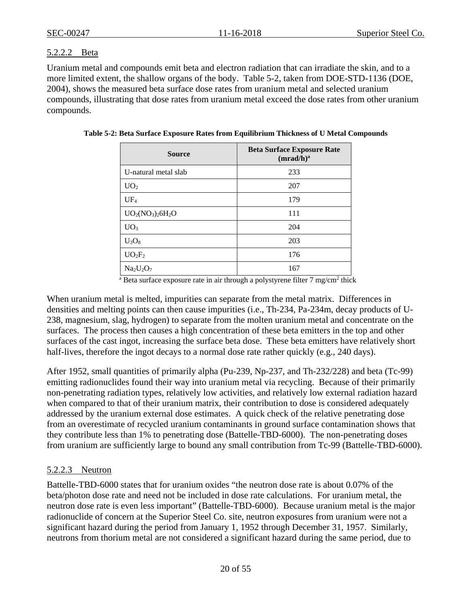#### <span id="page-19-0"></span>5.2.2.2 Beta

Uranium metal and compounds emit beta and electron radiation that can irradiate the skin, and to a more limited extent, the shallow organs of the body. Table 5-2, taken from DOE-STD-1136 (DOE, 2004), shows the measured beta surface dose rates from uranium metal and selected uranium compounds, illustrating that dose rates from uranium metal exceed the dose rates from other uranium compounds.

| <b>Source</b>                  | <b>Beta Surface Exposure Rate</b><br>(mrad/h) <sup>a</sup> |
|--------------------------------|------------------------------------------------------------|
| U-natural metal slab           | 233                                                        |
| UO <sub>2</sub>                | 207                                                        |
| $UF_4$                         | 179                                                        |
| $UO2(NO3)26H2O$                | 111                                                        |
| $UO_3$                         | 204                                                        |
| $U_3O_8$                       | 203                                                        |
| UO <sub>2</sub> F <sub>2</sub> | 176                                                        |
| $Na2U2O7$                      | 167                                                        |

<span id="page-19-2"></span>**Table 5-2: Beta Surface Exposure Rates from Equilibrium Thickness of U Metal Compounds**

<sup>a</sup> Beta surface exposure rate in air through a polystyrene filter  $7 \text{ mg/cm}^2$  thick

When uranium metal is melted, impurities can separate from the metal matrix. Differences in densities and melting points can then cause impurities (i.e., Th-234, Pa-234m, decay products of U-238, magnesium, slag, hydrogen) to separate from the molten uranium metal and concentrate on the surfaces. The process then causes a high concentration of these beta emitters in the top and other surfaces of the cast ingot, increasing the surface beta dose. These beta emitters have relatively short half-lives, therefore the ingot decays to a normal dose rate rather quickly (e.g., 240 days).

After 1952, small quantities of primarily alpha (Pu-239, Np-237, and Th-232/228) and beta (Tc-99) emitting radionuclides found their way into uranium metal via recycling. Because of their primarily non-penetrating radiation types, relatively low activities, and relatively low external radiation hazard when compared to that of their uranium matrix, their contribution to dose is considered adequately addressed by the uranium external dose estimates. A quick check of the relative penetrating dose from an overestimate of recycled uranium contaminants in ground surface contamination shows that they contribute less than 1% to penetrating dose (Battelle-TBD-6000). The non-penetrating doses from uranium are sufficiently large to bound any small contribution from Tc-99 (Battelle-TBD-6000).

#### <span id="page-19-1"></span>5.2.2.3 Neutron

Battelle-TBD-6000 states that for uranium oxides "the neutron dose rate is about 0.07% of the beta/photon dose rate and need not be included in dose rate calculations. For uranium metal, the neutron dose rate is even less important" (Battelle-TBD-6000). Because uranium metal is the major radionuclide of concern at the Superior Steel Co. site, neutron exposures from uranium were not a significant hazard during the period from January 1, 1952 through December 31, 1957. Similarly, neutrons from thorium metal are not considered a significant hazard during the same period, due to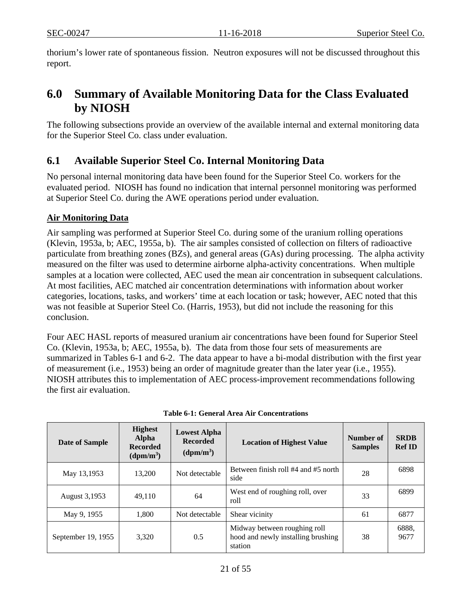thorium's lower rate of spontaneous fission. Neutron exposures will not be discussed throughout this report.

# <span id="page-20-0"></span>**6.0 Summary of Available Monitoring Data for the Class Evaluated by NIOSH**

The following subsections provide an overview of the available internal and external monitoring data for the Superior Steel Co. class under evaluation.

### <span id="page-20-1"></span>**6.1 Available Superior Steel Co. Internal Monitoring Data**

No personal internal monitoring data have been found for the Superior Steel Co. workers for the evaluated period. NIOSH has found no indication that internal personnel monitoring was performed at Superior Steel Co. during the AWE operations period under evaluation.

#### **Air Monitoring Data**

Air sampling was performed at Superior Steel Co. during some of the uranium rolling operations (Klevin, 1953a, b; AEC, 1955a, b). The air samples consisted of collection on filters of radioactive particulate from breathing zones (BZs), and general areas (GAs) during processing. The alpha activity measured on the filter was used to determine airborne alpha-activity concentrations. When multiple samples at a location were collected, AEC used the mean air concentration in subsequent calculations. At most facilities, AEC matched air concentration determinations with information about worker categories, locations, tasks, and workers' time at each location or task; however, AEC noted that this was not feasible at Superior Steel Co. (Harris, 1953), but did not include the reasoning for this conclusion.

Four AEC HASL reports of measured uranium air concentrations have been found for Superior Steel Co. (Klevin, 1953a, b; AEC, 1955a, b). The data from those four sets of measurements are summarized in Tables 6-1 and 6-2. The data appear to have a bi-modal distribution with the first year of measurement (i.e., 1953) being an order of magnitude greater than the later year (i.e., 1955). NIOSH attributes this to implementation of AEC process-improvement recommendations following the first air evaluation.

<span id="page-20-2"></span>

| <b>Date of Sample</b> | <b>Highest</b><br><b>Alpha</b><br><b>Recorded</b><br>(dpm/m <sup>3</sup> ) | <b>Lowest Alpha</b><br><b>Recorded</b><br>(dpm/m <sup>3</sup> ) | <b>Location of Highest Value</b>                                              | Number of<br><b>Samples</b> | <b>SRDB</b><br><b>Ref ID</b> |
|-----------------------|----------------------------------------------------------------------------|-----------------------------------------------------------------|-------------------------------------------------------------------------------|-----------------------------|------------------------------|
| May 13,1953           | 13,200                                                                     | Not detectable                                                  | Between finish roll #4 and #5 north<br>side                                   | 28                          | 6898                         |
| August 3,1953         | 49.110                                                                     | 64                                                              | West end of roughing roll, over<br>roll                                       |                             | 6899                         |
| May 9, 1955           | 1.800                                                                      | Not detectable                                                  | Shear vicinity                                                                | 61                          | 6877                         |
| September 19, 1955    | 3,320                                                                      | 0.5                                                             | Midway between roughing roll<br>hood and newly installing brushing<br>station | 38                          | 6888,<br>9677                |

|  | <b>Table 6-1: General Area Air Concentrations</b> |  |
|--|---------------------------------------------------|--|
|  |                                                   |  |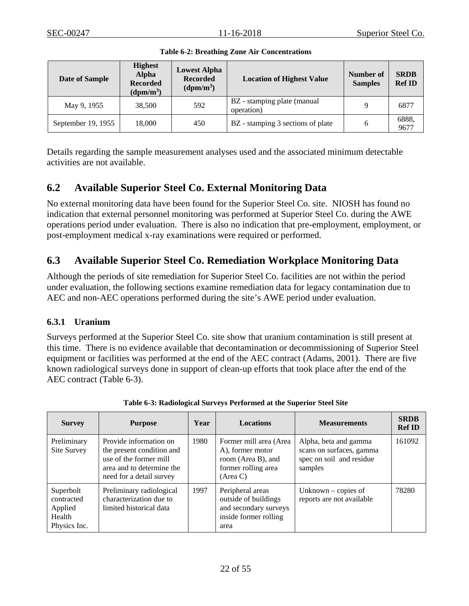<span id="page-21-3"></span>

| Date of Sample     | <b>Highest</b><br><b>Alpha</b><br><b>Recorded</b><br>(dpm/m <sup>3</sup> ) | <b>Lowest Alpha</b><br><b>Recorded</b><br>(dpm/m <sup>3</sup> ) | <b>Location of Highest Value</b>          | Number of<br><b>Samples</b> | <b>SRDB</b><br><b>Ref ID</b> |
|--------------------|----------------------------------------------------------------------------|-----------------------------------------------------------------|-------------------------------------------|-----------------------------|------------------------------|
| May 9, 1955        | 38,500                                                                     | 592                                                             | BZ - stamping plate (manual<br>operation) | $\Omega$                    | 6877                         |
| September 19, 1955 | 18,000                                                                     | 450                                                             | BZ - stamping 3 sections of plate         | h.                          | 6888,<br>9677                |

**Table 6-2: Breathing Zone Air Concentrations**

Details regarding the sample measurement analyses used and the associated minimum detectable activities are not available.

### <span id="page-21-0"></span>**6.2 Available Superior Steel Co. External Monitoring Data**

No external monitoring data have been found for the Superior Steel Co. site. NIOSH has found no indication that external personnel monitoring was performed at Superior Steel Co. during the AWE operations period under evaluation. There is also no indication that pre-employment, employment, or post-employment medical x-ray examinations were required or performed.

### <span id="page-21-1"></span>**6.3 Available Superior Steel Co. Remediation Workplace Monitoring Data**

Although the periods of site remediation for Superior Steel Co. facilities are not within the period under evaluation, the following sections examine remediation data for legacy contamination due to AEC and non-AEC operations performed during the site's AWE period under evaluation.

#### <span id="page-21-2"></span>**6.3.1 Uranium**

Surveys performed at the Superior Steel Co. site show that uranium contamination is still present at this time. There is no evidence available that decontamination or decommissioning of Superior Steel equipment or facilities was performed at the end of the AEC contract (Adams, 2001). There are five known radiological surveys done in support of clean-up efforts that took place after the end of the AEC contract (Table 6-3).

<span id="page-21-4"></span>

| <b>Survey</b>                                                | <b>Purpose</b>                                                                                                                         | Year | <b>Locations</b>                                                                                    | <b>Measurements</b>                                                                      | <b>SRDB</b><br><b>Ref ID</b> |
|--------------------------------------------------------------|----------------------------------------------------------------------------------------------------------------------------------------|------|-----------------------------------------------------------------------------------------------------|------------------------------------------------------------------------------------------|------------------------------|
| Preliminary<br>Site Survey                                   | Provide information on<br>the present condition and<br>use of the former mill<br>area and to determine the<br>need for a detail survey | 1980 | Former mill area (Area<br>A), former motor<br>room (Area B), and<br>former rolling area<br>(Area C) | Alpha, beta and gamma<br>scans on surfaces, gamma<br>spec on soil and residue<br>samples | 161092                       |
| Superbolt<br>contracted<br>Applied<br>Health<br>Physics Inc. | Preliminary radiological<br>characterization due to<br>limited historical data                                                         | 1997 | Peripheral areas<br>outside of buildings<br>and secondary surveys<br>inside former rolling<br>area  | Unknown $-$ copies of<br>reports are not available                                       | 78280                        |

|  |  | Table 6-3: Radiological Surveys Performed at the Superior Steel Site |
|--|--|----------------------------------------------------------------------|
|  |  |                                                                      |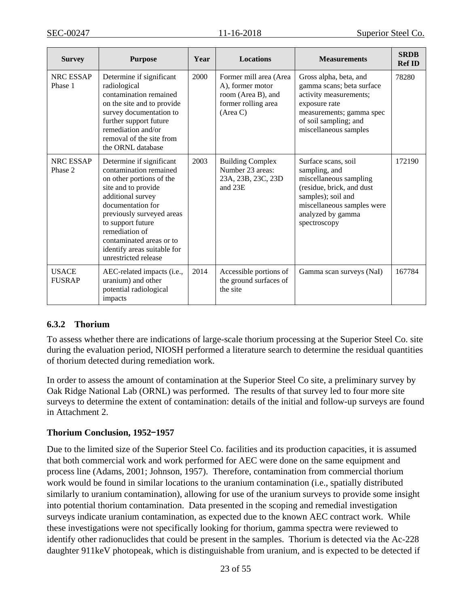| <b>Survey</b>                 | <b>Purpose</b>                                                                                                                                                                                                                                                                                         | Year | <b>Locations</b>                                                                                    | <b>Measurements</b>                                                                                                                                                                  | <b>SRDB</b><br><b>Ref ID</b> |
|-------------------------------|--------------------------------------------------------------------------------------------------------------------------------------------------------------------------------------------------------------------------------------------------------------------------------------------------------|------|-----------------------------------------------------------------------------------------------------|--------------------------------------------------------------------------------------------------------------------------------------------------------------------------------------|------------------------------|
| <b>NRC ESSAP</b><br>Phase 1   | Determine if significant<br>radiological<br>contamination remained<br>on the site and to provide<br>survey documentation to<br>further support future<br>remediation and/or<br>removal of the site from<br>the ORNL database                                                                           | 2000 | Former mill area (Area<br>A), former motor<br>room (Area B), and<br>former rolling area<br>(Area C) | Gross alpha, beta, and<br>gamma scans; beta surface<br>activity measurements;<br>exposure rate<br>measurements; gamma spec<br>of soil sampling; and<br>miscellaneous samples         | 78280                        |
| NRC ESSAP<br>Phase 2          | Determine if significant<br>contamination remained<br>on other portions of the<br>site and to provide<br>additional survey<br>documentation for<br>previously surveyed areas<br>to support future<br>remediation of<br>contaminated areas or to<br>identify areas suitable for<br>unrestricted release | 2003 | <b>Building Complex</b><br>Number 23 areas:<br>23A, 23B, 23C, 23D<br>and 23E                        | Surface scans, soil<br>sampling, and<br>miscellaneous sampling<br>(residue, brick, and dust<br>samples); soil and<br>miscellaneous samples were<br>analyzed by gamma<br>spectroscopy | 172190                       |
| <b>USACE</b><br><b>FUSRAP</b> | AEC-related impacts (i.e.,<br>uranium) and other<br>potential radiological<br>impacts                                                                                                                                                                                                                  | 2014 | Accessible portions of<br>the ground surfaces of<br>the site                                        | Gamma scan surveys (NaI)                                                                                                                                                             | 167784                       |

#### <span id="page-22-0"></span>**6.3.2 Thorium**

To assess whether there are indications of large-scale thorium processing at the Superior Steel Co. site during the evaluation period, NIOSH performed a literature search to determine the residual quantities of thorium detected during remediation work.

In order to assess the amount of contamination at the Superior Steel Co site, a preliminary survey by Oak Ridge National Lab (ORNL) was performed. The results of that survey led to four more site surveys to determine the extent of contamination: details of the initial and follow-up surveys are found in Attachment 2.

#### **Thorium Conclusion, 1952**-**1957**

Due to the limited size of the Superior Steel Co. facilities and its production capacities, it is assumed that both commercial work and work performed for AEC were done on the same equipment and process line (Adams, 2001; Johnson, 1957). Therefore, contamination from commercial thorium work would be found in similar locations to the uranium contamination (i.e., spatially distributed similarly to uranium contamination), allowing for use of the uranium surveys to provide some insight into potential thorium contamination. Data presented in the scoping and remedial investigation surveys indicate uranium contamination, as expected due to the known AEC contract work. While these investigations were not specifically looking for thorium, gamma spectra were reviewed to identify other radionuclides that could be present in the samples. Thorium is detected via the Ac-228 daughter 911keV photopeak, which is distinguishable from uranium, and is expected to be detected if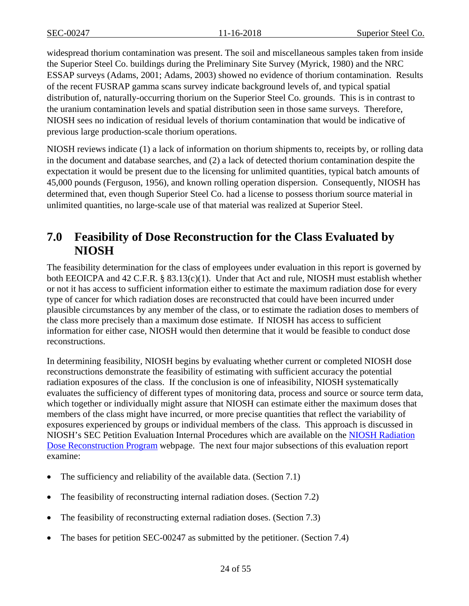widespread thorium contamination was present. The soil and miscellaneous samples taken from inside the Superior Steel Co. buildings during the Preliminary Site Survey (Myrick, 1980) and the NRC ESSAP surveys (Adams, 2001; Adams, 2003) showed no evidence of thorium contamination. Results of the recent FUSRAP gamma scans survey indicate background levels of, and typical spatial distribution of, naturally-occurring thorium on the Superior Steel Co. grounds. This is in contrast to the uranium contamination levels and spatial distribution seen in those same surveys. Therefore, NIOSH sees no indication of residual levels of thorium contamination that would be indicative of previous large production-scale thorium operations.

NIOSH reviews indicate (1) a lack of information on thorium shipments to, receipts by, or rolling data in the document and database searches, and (2) a lack of detected thorium contamination despite the expectation it would be present due to the licensing for unlimited quantities, typical batch amounts of 45,000 pounds (Ferguson, 1956), and known rolling operation dispersion. Consequently, NIOSH has determined that, even though Superior Steel Co. had a license to possess thorium source material in unlimited quantities, no large-scale use of that material was realized at Superior Steel.

# <span id="page-23-0"></span>**7.0 Feasibility of Dose Reconstruction for the Class Evaluated by NIOSH**

The feasibility determination for the class of employees under evaluation in this report is governed by both EEOICPA and 42 C.F.R. § 83.13(c)(1). Under that Act and rule, NIOSH must establish whether or not it has access to sufficient information either to estimate the maximum radiation dose for every type of cancer for which radiation doses are reconstructed that could have been incurred under plausible circumstances by any member of the class, or to estimate the radiation doses to members of the class more precisely than a maximum dose estimate. If NIOSH has access to sufficient information for either case, NIOSH would then determine that it would be feasible to conduct dose reconstructions.

In determining feasibility, NIOSH begins by evaluating whether current or completed NIOSH dose reconstructions demonstrate the feasibility of estimating with sufficient accuracy the potential radiation exposures of the class. If the conclusion is one of infeasibility, NIOSH systematically evaluates the sufficiency of different types of monitoring data, process and source or source term data, which together or individually might assure that NIOSH can estimate either the maximum doses that members of the class might have incurred, or more precise quantities that reflect the variability of exposures experienced by groups or individual members of the class. This approach is discussed in NIOSH's SEC Petition Evaluation Internal Procedures which are available on the [NIOSH Radiation](http://www.cdc.gov/niosh/ocas/)  [Dose Reconstruction Program](http://www.cdc.gov/niosh/ocas/) webpage. The next four major subsections of this evaluation report examine:

- The sufficiency and reliability of the available data. (Section 7.1)
- The feasibility of reconstructing internal radiation doses. (Section 7.2)
- The feasibility of reconstructing external radiation doses. (Section 7.3)
- The bases for petition SEC-00247 as submitted by the petitioner. (Section 7.4)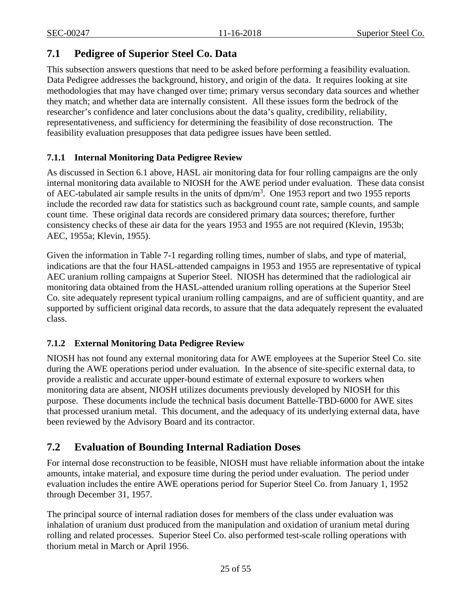### <span id="page-24-0"></span>**7.1 Pedigree of Superior Steel Co. Data**

This subsection answers questions that need to be asked before performing a feasibility evaluation. Data Pedigree addresses the background, history, and origin of the data. It requires looking at site methodologies that may have changed over time; primary versus secondary data sources and whether they match; and whether data are internally consistent. All these issues form the bedrock of the researcher's confidence and later conclusions about the data's quality, credibility, reliability, representativeness, and sufficiency for determining the feasibility of dose reconstruction. The feasibility evaluation presupposes that data pedigree issues have been settled.

#### <span id="page-24-1"></span>**7.1.1 Internal Monitoring Data Pedigree Review**

As discussed in Section 6.1 above, HASL air monitoring data for four rolling campaigns are the only internal monitoring data available to NIOSH for the AWE period under evaluation. These data consist of AEC-tabulated air sample results in the units of  $dpm/m<sup>3</sup>$ . One 1953 report and two 1955 reports include the recorded raw data for statistics such as background count rate, sample counts, and sample count time. These original data records are considered primary data sources; therefore, further consistency checks of these air data for the years 1953 and 1955 are not required (Klevin, 1953b; AEC, 1955a; Klevin, 1955).

Given the information in Table 7-1 regarding rolling times, number of slabs, and type of material, indications are that the four HASL-attended campaigns in 1953 and 1955 are representative of typical AEC uranium rolling campaigns at Superior Steel. NIOSH has determined that the radiological air monitoring data obtained from the HASL-attended uranium rolling operations at the Superior Steel Co. site adequately represent typical uranium rolling campaigns, and are of sufficient quantity, and are supported by sufficient original data records, to assure that the data adequately represent the evaluated class.

### <span id="page-24-2"></span>**7.1.2 External Monitoring Data Pedigree Review**

NIOSH has not found any external monitoring data for AWE employees at the Superior Steel Co. site during the AWE operations period under evaluation. In the absence of site-specific external data, to provide a realistic and accurate upper-bound estimate of external exposure to workers when monitoring data are absent, NIOSH utilizes documents previously developed by NIOSH for this purpose. These documents include the technical basis document Battelle-TBD-6000 for AWE sites that processed uranium metal. This document, and the adequacy of its underlying external data, have been reviewed by the Advisory Board and its contractor.

### <span id="page-24-3"></span>**7.2 Evaluation of Bounding Internal Radiation Doses**

For internal dose reconstruction to be feasible, NIOSH must have reliable information about the intake amounts, intake material, and exposure time during the period under evaluation. The period under evaluation includes the entire AWE operations period for Superior Steel Co. from January 1, 1952 through December 31, 1957.

The principal source of internal radiation doses for members of the class under evaluation was inhalation of uranium dust produced from the manipulation and oxidation of uranium metal during rolling and related processes. Superior Steel Co. also performed test-scale rolling operations with thorium metal in March or April 1956.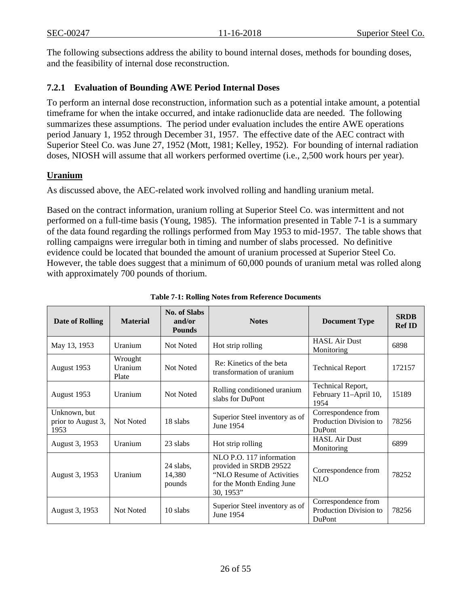The following subsections address the ability to bound internal doses, methods for bounding doses, and the feasibility of internal dose reconstruction.

#### <span id="page-25-0"></span>**7.2.1 Evaluation of Bounding AWE Period Internal Doses**

To perform an internal dose reconstruction, information such as a potential intake amount, a potential timeframe for when the intake occurred, and intake radionuclide data are needed. The following summarizes these assumptions. The period under evaluation includes the entire AWE operations period January 1, 1952 through December 31, 1957. The effective date of the AEC contract with Superior Steel Co. was June 27, 1952 (Mott, 1981; Kelley, 1952). For bounding of internal radiation doses, NIOSH will assume that all workers performed overtime (i.e., 2,500 work hours per year).

#### **Uranium**

As discussed above, the AEC-related work involved rolling and handling uranium metal.

Based on the contract information, uranium rolling at Superior Steel Co. was intermittent and not performed on a full-time basis (Young, 1985). The information presented in Table 7-1 is a summary of the data found regarding the rollings performed from May 1953 to mid-1957. The table shows that rolling campaigns were irregular both in timing and number of slabs processed. No definitive evidence could be located that bounded the amount of uranium processed at Superior Steel Co. However, the table does suggest that a minimum of 60,000 pounds of uranium metal was rolled along with approximately 700 pounds of thorium.

<span id="page-25-1"></span>

| <b>Date of Rolling</b>                     | <b>Material</b>             | <b>No. of Slabs</b><br>and/or<br><b>Pounds</b> | <b>Notes</b>                                                                                                              | <b>Document Type</b>                                           | <b>SRDB</b><br><b>Ref ID</b> |
|--------------------------------------------|-----------------------------|------------------------------------------------|---------------------------------------------------------------------------------------------------------------------------|----------------------------------------------------------------|------------------------------|
| May 13, 1953                               | Uranium                     | Not Noted                                      | Hot strip rolling                                                                                                         | <b>HASL Air Dust</b><br>Monitoring                             | 6898                         |
| August 1953                                | Wrought<br>Uranium<br>Plate | Not Noted                                      | Re: Kinetics of the beta<br>transformation of uranium                                                                     | <b>Technical Report</b>                                        | 172157                       |
| August 1953                                | Uranium                     | Not Noted                                      | Rolling conditioned uranium<br>slabs for DuPont                                                                           | Technical Report,<br>February 11-April 10,<br>1954             | 15189                        |
| Unknown, but<br>prior to August 3,<br>1953 | Not Noted                   | 18 slabs                                       | Superior Steel inventory as of<br>June 1954                                                                               | Correspondence from<br>Production Division to<br><b>DuPont</b> | 78256                        |
| August 3, 1953                             | Uranium                     | 23 slabs                                       | Hot strip rolling                                                                                                         | <b>HASL Air Dust</b><br>Monitoring                             | 6899                         |
| August 3, 1953                             | Uranium                     | 24 slabs,<br>14,380<br>pounds                  | NLO P.O. 117 information<br>provided in SRDB 29522<br>"NLO Resume of Activities<br>for the Month Ending June<br>30, 1953" | Correspondence from<br><b>NLO</b>                              | 78252                        |
| August 3, 1953                             | Not Noted                   | 10 slabs                                       | Superior Steel inventory as of<br>June 1954                                                                               | Correspondence from<br>Production Division to<br>DuPont        | 78256                        |

#### **Table 7-1: Rolling Notes from Reference Documents**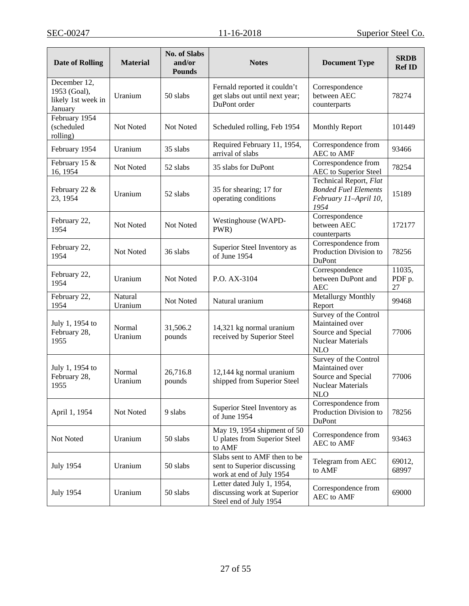| <b>Date of Rolling</b>                                        | <b>Material</b>    | No. of Slabs<br>and/or<br><b>Pounds</b> | <b>Notes</b>                                                                            | <b>Document Type</b>                                                                                     | <b>SRDB</b><br><b>Ref ID</b> |
|---------------------------------------------------------------|--------------------|-----------------------------------------|-----------------------------------------------------------------------------------------|----------------------------------------------------------------------------------------------------------|------------------------------|
| December 12,<br>1953 (Goal),<br>likely 1st week in<br>January | Uranium            | 50 slabs                                | Fernald reported it couldn't<br>get slabs out until next year;<br>DuPont order          | Correspondence<br>between AEC<br>counterparts                                                            | 78274                        |
| February 1954<br>(scheduled<br>rolling)                       | Not Noted          | Not Noted                               | Scheduled rolling, Feb 1954                                                             | <b>Monthly Report</b>                                                                                    | 101449                       |
| February 1954                                                 | Uranium            | 35 slabs                                | Required February 11, 1954,<br>arrival of slabs                                         | Correspondence from<br><b>AEC</b> to AMF                                                                 | 93466                        |
| February 15 &<br>16, 1954                                     | Not Noted          | 52 slabs                                | 35 slabs for DuPont                                                                     | Correspondence from<br>AEC to Superior Steel                                                             | 78254                        |
| February 22 &<br>23, 1954                                     | Uranium            | 52 slabs                                | 35 for shearing; 17 for<br>operating conditions                                         | Technical Report, Flat<br><b>Bonded Fuel Elements</b><br>February 11-April 10,<br>1954                   | 15189                        |
| February 22,<br>1954                                          | Not Noted          | Not Noted                               | Westinghouse (WAPD-<br>PWR)                                                             | Correspondence<br>between AEC<br>counterparts                                                            | 172177                       |
| February 22,<br>1954                                          | Not Noted          | 36 slabs                                | Superior Steel Inventory as<br>of June 1954                                             | Correspondence from<br>Production Division to<br><b>DuPont</b>                                           | 78256                        |
| February 22,<br>1954                                          | Uranium            | Not Noted                               | P.O. AX-3104                                                                            | Correspondence<br>between DuPont and<br><b>AEC</b>                                                       | 11035,<br>PDF p.<br>27       |
| February 22,<br>1954                                          | Natural<br>Uranium | Not Noted                               | Natural uranium                                                                         | Metallurgy Monthly<br>Report                                                                             | 99468                        |
| July 1, 1954 to<br>February 28,<br>1955                       | Normal<br>Uranium  | 31,506.2<br>pounds                      | 14,321 kg normal uranium<br>received by Superior Steel                                  | Survey of the Control<br>Maintained over<br>Source and Special<br><b>Nuclear Materials</b><br><b>NLO</b> | 77006                        |
| July 1, 1954 to<br>February 28,<br>1955                       | Normal<br>Uranium  | 26,716.8<br>pounds                      | 12,144 kg normal uranium<br>shipped from Superior Steel                                 | Survey of the Control<br>Maintained over<br>Source and Special<br><b>Nuclear Materials</b><br><b>NLO</b> | 77006                        |
| April 1, 1954                                                 | Not Noted          | 9 slabs                                 | Superior Steel Inventory as<br>of June 1954                                             | Correspondence from<br>Production Division to<br>DuPont                                                  | 78256                        |
| Not Noted                                                     | Uranium            | 50 slabs                                | May 19, 1954 shipment of 50<br>U plates from Superior Steel<br>to AMF                   | Correspondence from<br><b>AEC</b> to AMF                                                                 | 93463                        |
| <b>July 1954</b>                                              | Uranium            | 50 slabs                                | Slabs sent to AMF then to be<br>sent to Superior discussing<br>work at end of July 1954 | Telegram from AEC<br>to AMF                                                                              | 69012,<br>68997              |
| <b>July 1954</b>                                              | Uranium            | 50 slabs                                | Letter dated July 1, 1954,<br>discussing work at Superior<br>Steel end of July 1954     | Correspondence from<br>AEC to AMF                                                                        | 69000                        |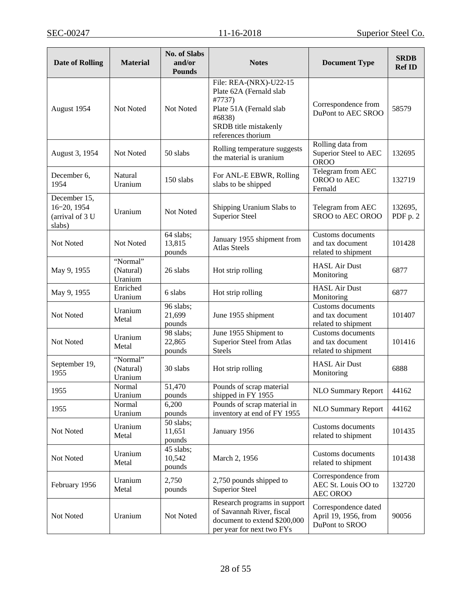| <b>Date of Rolling</b>                                   | <b>Material</b>                  | No. of Slabs<br>and/or<br><b>Pounds</b> | <b>Notes</b>                                                                                                                                    | <b>Document Type</b>                                           | <b>SRDB</b><br><b>Ref ID</b> |
|----------------------------------------------------------|----------------------------------|-----------------------------------------|-------------------------------------------------------------------------------------------------------------------------------------------------|----------------------------------------------------------------|------------------------------|
| August 1954                                              | Not Noted                        | Not Noted                               | File: REA-(NRX)-U22-15<br>Plate 62A (Fernald slab<br>#7737)<br>Plate 51A (Fernald slab<br>#6838)<br>SRDB title mistakenly<br>references thorium | Correspondence from<br>DuPont to AEC SROO                      | 58579                        |
| August 3, 1954                                           | Not Noted                        | 50 slabs                                | Rolling temperature suggests<br>the material is uranium                                                                                         | Rolling data from<br>Superior Steel to AEC<br><b>OROO</b>      | 132695                       |
| December 6,<br>1954                                      | Natural<br>Uranium               | 150 slabs                               | For ANL-E EBWR, Rolling<br>slabs to be shipped                                                                                                  | Telegram from AEC<br>OROO to AEC<br>Fernald                    | 132719                       |
| December 15,<br>16-20, 1954<br>(arrival of 3 U<br>slabs) | Uranium                          | Not Noted                               | Shipping Uranium Slabs to<br><b>Superior Steel</b>                                                                                              | Telegram from AEC<br>SROO to AEC OROO                          | 132695,<br>PDF p. 2          |
| Not Noted                                                | Not Noted                        | 64 slabs;<br>13,815<br>pounds           | January 1955 shipment from<br><b>Atlas Steels</b>                                                                                               | Customs documents<br>and tax document<br>related to shipment   | 101428                       |
| May 9, 1955                                              | "Normal"<br>(Natural)<br>Uranium | 26 slabs                                | Hot strip rolling                                                                                                                               | <b>HASL Air Dust</b><br>Monitoring                             | 6877                         |
| May 9, 1955                                              | Enriched<br>Uranium              | 6 slabs                                 | Hot strip rolling                                                                                                                               | <b>HASL Air Dust</b><br>Monitoring                             | 6877                         |
| Not Noted                                                | Uranium<br>Metal                 | 96 slabs;<br>21,699<br>pounds           | June 1955 shipment                                                                                                                              | Customs documents<br>and tax document<br>related to shipment   | 101407                       |
| Not Noted                                                | Uranium<br>Metal                 | 98 slabs;<br>22,865<br>pounds           | June 1955 Shipment to<br>Superior Steel from Atlas<br>Steels                                                                                    | Customs documents<br>and tax document<br>related to shipment   | 101416                       |
| September 19,<br>1955                                    | "Normal"<br>(Natural)<br>Uranium | 30 slabs                                | Hot strip rolling                                                                                                                               | <b>HASL Air Dust</b><br>Monitoring                             | 6888                         |
| 1955                                                     | Normal<br>Uranium                | 51,470<br>pounds                        | Pounds of scrap material<br>shipped in FY 1955                                                                                                  | <b>NLO Summary Report</b>                                      | 44162                        |
| 1955                                                     | Normal<br>Uranium                | 6,200<br>pounds                         | Pounds of scrap material in<br>inventory at end of FY 1955                                                                                      | <b>NLO Summary Report</b>                                      | 44162                        |
| Not Noted                                                | Uranium<br>Metal                 | 50 slabs;<br>11,651<br>pounds           | January 1956                                                                                                                                    | <b>Customs</b> documents<br>related to shipment                | 101435                       |
| Not Noted                                                | Uranium<br>Metal                 | 45 slabs;<br>10,542<br>pounds           | March 2, 1956                                                                                                                                   | Customs documents<br>related to shipment                       | 101438                       |
| February 1956                                            | Uranium<br>Metal                 | 2,750<br>pounds                         | 2,750 pounds shipped to<br><b>Superior Steel</b>                                                                                                | Correspondence from<br>AEC St. Louis OO to<br><b>AEC OROO</b>  | 132720                       |
| Not Noted                                                | Uranium                          | Not Noted                               | Research programs in support<br>of Savannah River, fiscal<br>document to extend \$200,000<br>per year for next two FYs                          | Correspondence dated<br>April 19, 1956, from<br>DuPont to SROO | 90056                        |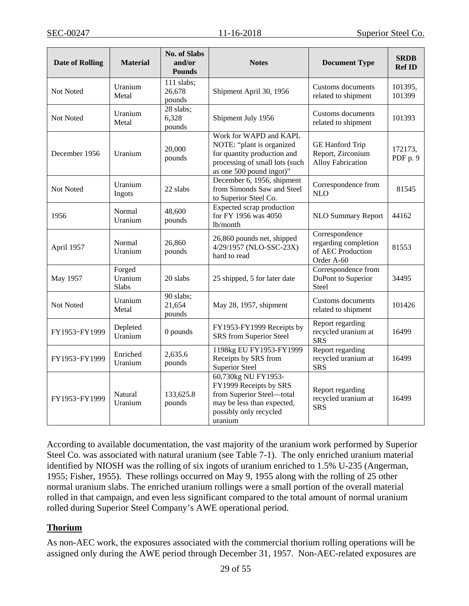| <b>Date of Rolling</b> | <b>Material</b>                   | No. of Slabs<br>and/or<br><b>Pounds</b> | <b>Notes</b>                                                                                                                                     | <b>Document Type</b>                                                      | <b>SRDB</b><br><b>Ref ID</b> |
|------------------------|-----------------------------------|-----------------------------------------|--------------------------------------------------------------------------------------------------------------------------------------------------|---------------------------------------------------------------------------|------------------------------|
| Not Noted              | Uranium<br>Metal                  | 111 slabs;<br>26,678<br>pounds          | Shipment April 30, 1956                                                                                                                          | <b>Customs</b> documents<br>related to shipment                           | 101395,<br>101399            |
| <b>Not Noted</b>       | Uranium<br>Metal                  | 28 slabs;<br>6,328<br>pounds            | Shipment July 1956                                                                                                                               | Customs documents<br>related to shipment                                  | 101393                       |
| December 1956          | Uranium                           | 20,000<br>pounds                        | Work for WAPD and KAPL<br>NOTE: "plant is organized<br>for quantity production and<br>processing of small lots (such<br>as one 500 pound ingot)" | GE Hanford Trip<br>Report, Zirconium<br><b>Alloy Fabrication</b>          | 172173,<br>PDF p. 9          |
| Not Noted              | Uranium<br>Ingots                 | 22 slabs                                | December 6, 1956, shipment<br>from Simonds Saw and Steel<br>to Superior Steel Co.                                                                | Correspondence from<br><b>NLO</b>                                         | 81545                        |
| 1956                   | Normal<br>Uranium                 | 48,600<br>pounds                        | Expected scrap production<br>for FY 1956 was 4050<br>lb/month                                                                                    | <b>NLO Summary Report</b>                                                 | 44162                        |
| April 1957             | Normal<br>Uranium                 | 26,860<br>pounds                        | 26,860 pounds net, shipped<br>4/29/1957 (NLO-SSC-23X)<br>hard to read                                                                            | Correspondence<br>regarding completion<br>of AEC Production<br>Order A-60 | 81553                        |
| May 1957               | Forged<br>Uranium<br><b>Slabs</b> | 20 slabs                                | 25 shipped, 5 for later date                                                                                                                     | Correspondence from<br>DuPont to Superior<br>Steel                        | 34495                        |
| Not Noted              | Uranium<br>Metal                  | 90 slabs;<br>21,654<br>pounds           | May 28, 1957, shipment                                                                                                                           | <b>Customs</b> documents<br>related to shipment                           | 101426                       |
| FY1953-FY1999          | Depleted<br>Uranium               | 0 pounds                                | FY1953-FY1999 Receipts by<br>SRS from Superior Steel                                                                                             | Report regarding<br>recycled uranium at<br><b>SRS</b>                     | 16499                        |
| FY1953-FY1999          | Enriched<br>Uranium               | 2,635.6<br>pounds                       | 1198kg EU FY1953-FY1999<br>Receipts by SRS from<br><b>Superior Steel</b>                                                                         | Report regarding<br>recycled uranium at<br><b>SRS</b>                     | 16499                        |
| FY1953-FY1999          | Natural<br>Uranium                | 133,625.8<br>pounds                     | 60,730kg NU FY1953-<br>FY1999 Receipts by SRS<br>from Superior Steel-total<br>may be less than expected,<br>possibly only recycled<br>uranium    | Report regarding<br>recycled uranium at<br><b>SRS</b>                     | 16499                        |

According to available documentation, the vast majority of the uranium work performed by Superior Steel Co. was associated with natural uranium (see Table 7-1). The only enriched uranium material identified by NIOSH was the rolling of six ingots of uranium enriched to 1.5% U-235 (Angerman, 1955; Fisher, 1955). These rollings occurred on May 9, 1955 along with the rolling of 25 other normal uranium slabs. The enriched uranium rollings were a small portion of the overall material rolled in that campaign, and even less significant compared to the total amount of normal uranium rolled during Superior Steel Company's AWE operational period.

#### **Thorium**

As non-AEC work, the exposures associated with the commercial thorium rolling operations will be assigned only during the AWE period through December 31, 1957. Non-AEC-related exposures are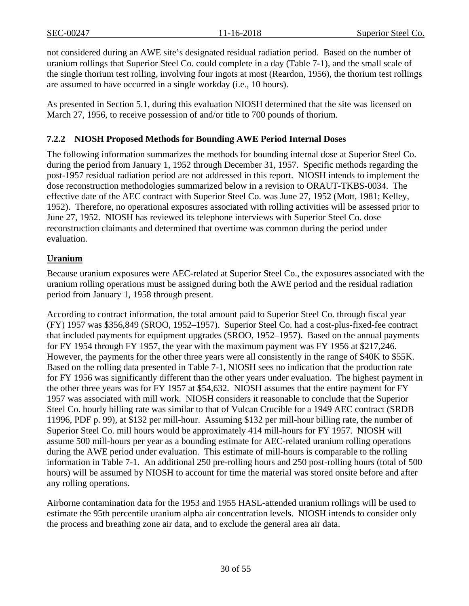not considered during an AWE site's designated residual radiation period. Based on the number of uranium rollings that Superior Steel Co. could complete in a day (Table 7-1), and the small scale of the single thorium test rolling, involving four ingots at most (Reardon, 1956), the thorium test rollings are assumed to have occurred in a single workday (i.e., 10 hours).

As presented in Section 5.1, during this evaluation NIOSH determined that the site was licensed on March 27, 1956, to receive possession of and/or title to 700 pounds of thorium.

#### <span id="page-29-0"></span>**7.2.2 NIOSH Proposed Methods for Bounding AWE Period Internal Doses**

The following information summarizes the methods for bounding internal dose at Superior Steel Co. during the period from January 1, 1952 through December 31, 1957. Specific methods regarding the post-1957 residual radiation period are not addressed in this report. NIOSH intends to implement the dose reconstruction methodologies summarized below in a revision to ORAUT-TKBS-0034. The effective date of the AEC contract with Superior Steel Co. was June 27, 1952 (Mott, 1981; Kelley, 1952). Therefore, no operational exposures associated with rolling activities will be assessed prior to June 27, 1952. NIOSH has reviewed its telephone interviews with Superior Steel Co. dose reconstruction claimants and determined that overtime was common during the period under evaluation.

#### **Uranium**

Because uranium exposures were AEC-related at Superior Steel Co., the exposures associated with the uranium rolling operations must be assigned during both the AWE period and the residual radiation period from January 1, 1958 through present.

According to contract information, the total amount paid to Superior Steel Co. through fiscal year (FY) 1957 was \$356,849 (SROO, 1952–1957). Superior Steel Co. had a cost-plus-fixed-fee contract that included payments for equipment upgrades (SROO, 1952–1957). Based on the annual payments for FY 1954 through FY 1957, the year with the maximum payment was FY 1956 at \$217,246. However, the payments for the other three years were all consistently in the range of \$40K to \$55K. Based on the rolling data presented in Table 7-1, NIOSH sees no indication that the production rate for FY 1956 was significantly different than the other years under evaluation. The highest payment in the other three years was for FY 1957 at \$54,632. NIOSH assumes that the entire payment for FY 1957 was associated with mill work. NIOSH considers it reasonable to conclude that the Superior Steel Co. hourly billing rate was similar to that of Vulcan Crucible for a 1949 AEC contract (SRDB 11996, PDF p. 99), at \$132 per mill-hour. Assuming \$132 per mill-hour billing rate, the number of Superior Steel Co. mill hours would be approximately 414 mill-hours for FY 1957. NIOSH will assume 500 mill-hours per year as a bounding estimate for AEC-related uranium rolling operations during the AWE period under evaluation. This estimate of mill-hours is comparable to the rolling information in Table 7-1. An additional 250 pre-rolling hours and 250 post-rolling hours (total of 500 hours) will be assumed by NIOSH to account for time the material was stored onsite before and after any rolling operations.

Airborne contamination data for the 1953 and 1955 HASL-attended uranium rollings will be used to estimate the 95th percentile uranium alpha air concentration levels. NIOSH intends to consider only the process and breathing zone air data, and to exclude the general area air data.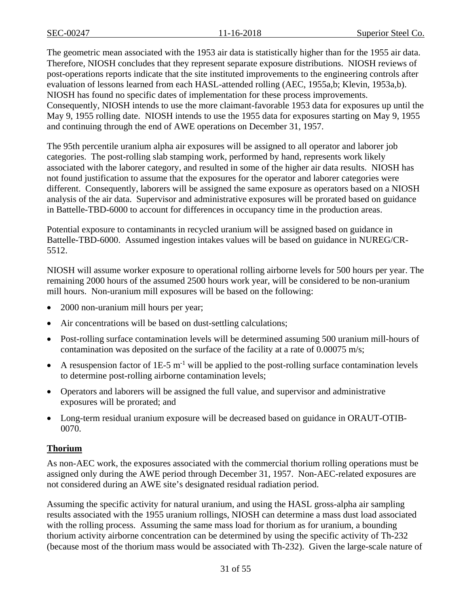The geometric mean associated with the 1953 air data is statistically higher than for the 1955 air data. Therefore, NIOSH concludes that they represent separate exposure distributions. NIOSH reviews of post-operations reports indicate that the site instituted improvements to the engineering controls after evaluation of lessons learned from each HASL-attended rolling (AEC, 1955a,b; Klevin, 1953a,b). NIOSH has found no specific dates of implementation for these process improvements. Consequently, NIOSH intends to use the more claimant-favorable 1953 data for exposures up until the May 9, 1955 rolling date. NIOSH intends to use the 1955 data for exposures starting on May 9, 1955 and continuing through the end of AWE operations on December 31, 1957.

The 95th percentile uranium alpha air exposures will be assigned to all operator and laborer job categories. The post-rolling slab stamping work, performed by hand, represents work likely associated with the laborer category, and resulted in some of the higher air data results. NIOSH has not found justification to assume that the exposures for the operator and laborer categories were different. Consequently, laborers will be assigned the same exposure as operators based on a NIOSH analysis of the air data. Supervisor and administrative exposures will be prorated based on guidance in Battelle-TBD-6000 to account for differences in occupancy time in the production areas.

Potential exposure to contaminants in recycled uranium will be assigned based on guidance in Battelle-TBD-6000. Assumed ingestion intakes values will be based on guidance in NUREG/CR-5512.

NIOSH will assume worker exposure to operational rolling airborne levels for 500 hours per year. The remaining 2000 hours of the assumed 2500 hours work year, will be considered to be non-uranium mill hours. Non-uranium mill exposures will be based on the following:

- 2000 non-uranium mill hours per year;
- Air concentrations will be based on dust-settling calculations;
- Post-rolling surface contamination levels will be determined assuming 500 uranium mill-hours of contamination was deposited on the surface of the facility at a rate of 0.00075 m/s;
- A resuspension factor of  $1E-5$  m<sup>-1</sup> will be applied to the post-rolling surface contamination levels to determine post-rolling airborne contamination levels;
- Operators and laborers will be assigned the full value, and supervisor and administrative exposures will be prorated; and
- Long-term residual uranium exposure will be decreased based on guidance in ORAUT-OTIB-0070.

#### **Thorium**

As non-AEC work, the exposures associated with the commercial thorium rolling operations must be assigned only during the AWE period through December 31, 1957. Non-AEC-related exposures are not considered during an AWE site's designated residual radiation period.

Assuming the specific activity for natural uranium, and using the HASL gross-alpha air sampling results associated with the 1955 uranium rollings, NIOSH can determine a mass dust load associated with the rolling process. Assuming the same mass load for thorium as for uranium, a bounding thorium activity airborne concentration can be determined by using the specific activity of Th-232 (because most of the thorium mass would be associated with Th-232). Given the large-scale nature of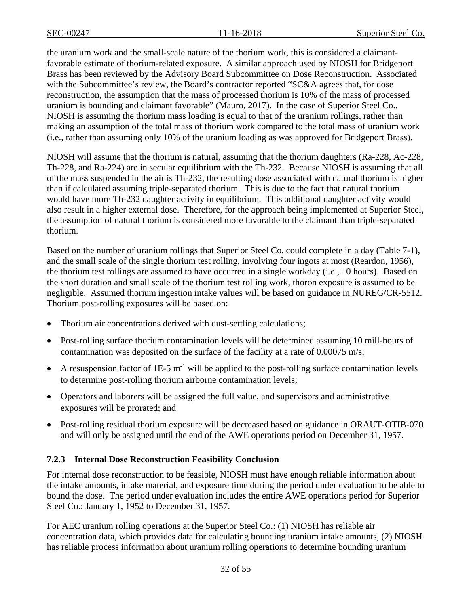the uranium work and the small-scale nature of the thorium work, this is considered a claimantfavorable estimate of thorium-related exposure. A similar approach used by NIOSH for Bridgeport Brass has been reviewed by the Advisory Board Subcommittee on Dose Reconstruction. Associated with the Subcommittee's review, the Board's contractor reported "SC&A agrees that, for dose reconstruction, the assumption that the mass of processed thorium is 10% of the mass of processed uranium is bounding and claimant favorable" (Mauro, 2017). In the case of Superior Steel Co., NIOSH is assuming the thorium mass loading is equal to that of the uranium rollings, rather than making an assumption of the total mass of thorium work compared to the total mass of uranium work (i.e., rather than assuming only 10% of the uranium loading as was approved for Bridgeport Brass).

NIOSH will assume that the thorium is natural, assuming that the thorium daughters (Ra-228, Ac-228, Th-228, and Ra-224) are in secular equilibrium with the Th-232. Because NIOSH is assuming that all of the mass suspended in the air is Th-232, the resulting dose associated with natural thorium is higher than if calculated assuming triple-separated thorium. This is due to the fact that natural thorium would have more Th-232 daughter activity in equilibrium. This additional daughter activity would also result in a higher external dose. Therefore, for the approach being implemented at Superior Steel, the assumption of natural thorium is considered more favorable to the claimant than triple-separated thorium.

Based on the number of uranium rollings that Superior Steel Co. could complete in a day (Table 7-1), and the small scale of the single thorium test rolling, involving four ingots at most (Reardon, 1956), the thorium test rollings are assumed to have occurred in a single workday (i.e., 10 hours). Based on the short duration and small scale of the thorium test rolling work, thoron exposure is assumed to be negligible. Assumed thorium ingestion intake values will be based on guidance in NUREG/CR-5512. Thorium post-rolling exposures will be based on:

- Thorium air concentrations derived with dust-settling calculations;
- Post-rolling surface thorium contamination levels will be determined assuming 10 mill-hours of contamination was deposited on the surface of the facility at a rate of 0.00075 m/s;
- A resuspension factor of  $1E-5$  m<sup>-1</sup> will be applied to the post-rolling surface contamination levels to determine post-rolling thorium airborne contamination levels;
- Operators and laborers will be assigned the full value, and supervisors and administrative exposures will be prorated; and
- Post-rolling residual thorium exposure will be decreased based on guidance in ORAUT-OTIB-070 and will only be assigned until the end of the AWE operations period on December 31, 1957.

#### <span id="page-31-0"></span>**7.2.3 Internal Dose Reconstruction Feasibility Conclusion**

For internal dose reconstruction to be feasible, NIOSH must have enough reliable information about the intake amounts, intake material, and exposure time during the period under evaluation to be able to bound the dose. The period under evaluation includes the entire AWE operations period for Superior Steel Co.: January 1, 1952 to December 31, 1957.

For AEC uranium rolling operations at the Superior Steel Co.: (1) NIOSH has reliable air concentration data, which provides data for calculating bounding uranium intake amounts, (2) NIOSH has reliable process information about uranium rolling operations to determine bounding uranium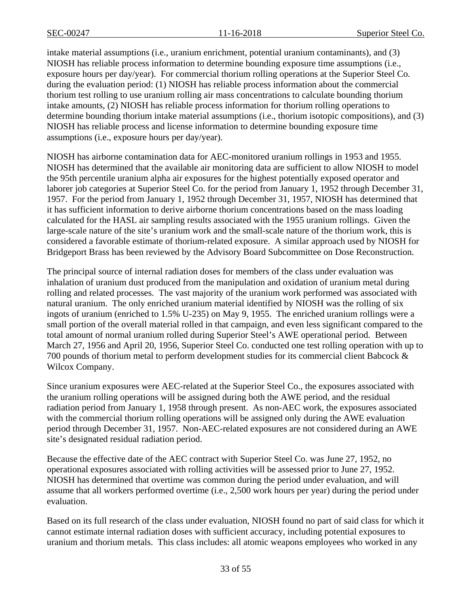intake material assumptions (i.e., uranium enrichment, potential uranium contaminants), and (3) NIOSH has reliable process information to determine bounding exposure time assumptions (i.e., exposure hours per day/year). For commercial thorium rolling operations at the Superior Steel Co. during the evaluation period: (1) NIOSH has reliable process information about the commercial thorium test rolling to use uranium rolling air mass concentrations to calculate bounding thorium intake amounts, (2) NIOSH has reliable process information for thorium rolling operations to determine bounding thorium intake material assumptions (i.e., thorium isotopic compositions), and (3) NIOSH has reliable process and license information to determine bounding exposure time assumptions (i.e., exposure hours per day/year).

NIOSH has airborne contamination data for AEC-monitored uranium rollings in 1953 and 1955. NIOSH has determined that the available air monitoring data are sufficient to allow NIOSH to model the 95th percentile uranium alpha air exposures for the highest potentially exposed operator and laborer job categories at Superior Steel Co. for the period from January 1, 1952 through December 31, 1957. For the period from January 1, 1952 through December 31, 1957, NIOSH has determined that it has sufficient information to derive airborne thorium concentrations based on the mass loading calculated for the HASL air sampling results associated with the 1955 uranium rollings. Given the large-scale nature of the site's uranium work and the small-scale nature of the thorium work, this is considered a favorable estimate of thorium-related exposure. A similar approach used by NIOSH for Bridgeport Brass has been reviewed by the Advisory Board Subcommittee on Dose Reconstruction.

The principal source of internal radiation doses for members of the class under evaluation was inhalation of uranium dust produced from the manipulation and oxidation of uranium metal during rolling and related processes. The vast majority of the uranium work performed was associated with natural uranium. The only enriched uranium material identified by NIOSH was the rolling of six ingots of uranium (enriched to 1.5% U-235) on May 9, 1955. The enriched uranium rollings were a small portion of the overall material rolled in that campaign, and even less significant compared to the total amount of normal uranium rolled during Superior Steel's AWE operational period. Between March 27, 1956 and April 20, 1956, Superior Steel Co. conducted one test rolling operation with up to 700 pounds of thorium metal to perform development studies for its commercial client Babcock & Wilcox Company.

Since uranium exposures were AEC-related at the Superior Steel Co., the exposures associated with the uranium rolling operations will be assigned during both the AWE period, and the residual radiation period from January 1, 1958 through present. As non-AEC work, the exposures associated with the commercial thorium rolling operations will be assigned only during the AWE evaluation period through December 31, 1957. Non-AEC-related exposures are not considered during an AWE site's designated residual radiation period.

Because the effective date of the AEC contract with Superior Steel Co. was June 27, 1952, no operational exposures associated with rolling activities will be assessed prior to June 27, 1952. NIOSH has determined that overtime was common during the period under evaluation, and will assume that all workers performed overtime (i.e., 2,500 work hours per year) during the period under evaluation.

Based on its full research of the class under evaluation, NIOSH found no part of said class for which it cannot estimate internal radiation doses with sufficient accuracy, including potential exposures to uranium and thorium metals. This class includes: all atomic weapons employees who worked in any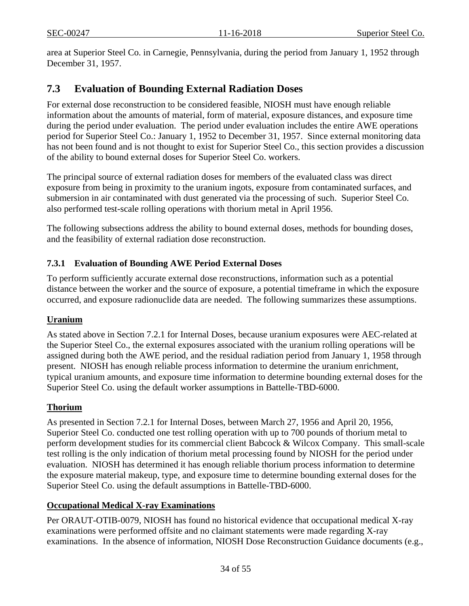area at Superior Steel Co. in Carnegie, Pennsylvania, during the period from January 1, 1952 through December 31, 1957.

### <span id="page-33-0"></span>**7.3 Evaluation of Bounding External Radiation Doses**

For external dose reconstruction to be considered feasible, NIOSH must have enough reliable information about the amounts of material, form of material, exposure distances, and exposure time during the period under evaluation. The period under evaluation includes the entire AWE operations period for Superior Steel Co.: January 1, 1952 to December 31, 1957. Since external monitoring data has not been found and is not thought to exist for Superior Steel Co., this section provides a discussion of the ability to bound external doses for Superior Steel Co. workers.

The principal source of external radiation doses for members of the evaluated class was direct exposure from being in proximity to the uranium ingots, exposure from contaminated surfaces, and submersion in air contaminated with dust generated via the processing of such. Superior Steel Co. also performed test-scale rolling operations with thorium metal in April 1956.

The following subsections address the ability to bound external doses, methods for bounding doses, and the feasibility of external radiation dose reconstruction.

#### <span id="page-33-1"></span>**7.3.1 Evaluation of Bounding AWE Period External Doses**

To perform sufficiently accurate external dose reconstructions, information such as a potential distance between the worker and the source of exposure, a potential timeframe in which the exposure occurred, and exposure radionuclide data are needed. The following summarizes these assumptions.

#### **Uranium**

As stated above in Section 7.2.1 for Internal Doses, because uranium exposures were AEC-related at the Superior Steel Co., the external exposures associated with the uranium rolling operations will be assigned during both the AWE period, and the residual radiation period from January 1, 1958 through present. NIOSH has enough reliable process information to determine the uranium enrichment, typical uranium amounts, and exposure time information to determine bounding external doses for the Superior Steel Co. using the default worker assumptions in Battelle-TBD-6000.

### **Thorium**

As presented in Section 7.2.1 for Internal Doses, between March 27, 1956 and April 20, 1956, Superior Steel Co. conducted one test rolling operation with up to 700 pounds of thorium metal to perform development studies for its commercial client Babcock & Wilcox Company. This small-scale test rolling is the only indication of thorium metal processing found by NIOSH for the period under evaluation. NIOSH has determined it has enough reliable thorium process information to determine the exposure material makeup, type, and exposure time to determine bounding external doses for the Superior Steel Co. using the default assumptions in Battelle-TBD-6000.

#### **Occupational Medical X-ray Examinations**

Per ORAUT-OTIB-0079, NIOSH has found no historical evidence that occupational medical X-ray examinations were performed offsite and no claimant statements were made regarding X-ray examinations. In the absence of information, NIOSH Dose Reconstruction Guidance documents (e.g.,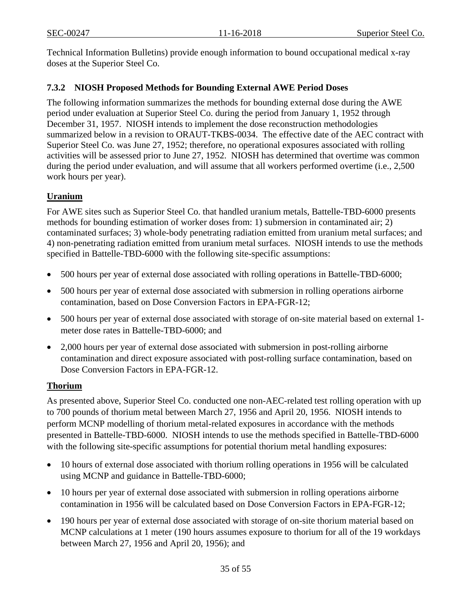Technical Information Bulletins) provide enough information to bound occupational medical x-ray doses at the Superior Steel Co.

#### <span id="page-34-0"></span>**7.3.2 NIOSH Proposed Methods for Bounding External AWE Period Doses**

The following information summarizes the methods for bounding external dose during the AWE period under evaluation at Superior Steel Co. during the period from January 1, 1952 through December 31, 1957. NIOSH intends to implement the dose reconstruction methodologies summarized below in a revision to ORAUT-TKBS-0034. The effective date of the AEC contract with Superior Steel Co. was June 27, 1952; therefore, no operational exposures associated with rolling activities will be assessed prior to June 27, 1952. NIOSH has determined that overtime was common during the period under evaluation, and will assume that all workers performed overtime (i.e., 2,500 work hours per year).

#### **Uranium**

For AWE sites such as Superior Steel Co. that handled uranium metals, Battelle-TBD-6000 presents methods for bounding estimation of worker doses from: 1) submersion in contaminated air; 2) contaminated surfaces; 3) whole-body penetrating radiation emitted from uranium metal surfaces; and 4) non-penetrating radiation emitted from uranium metal surfaces. NIOSH intends to use the methods specified in Battelle-TBD-6000 with the following site-specific assumptions:

- 500 hours per year of external dose associated with rolling operations in Battelle-TBD-6000;
- 500 hours per year of external dose associated with submersion in rolling operations airborne contamination, based on Dose Conversion Factors in EPA-FGR-12;
- 500 hours per year of external dose associated with storage of on-site material based on external 1meter dose rates in Battelle-TBD-6000; and
- 2,000 hours per year of external dose associated with submersion in post-rolling airborne contamination and direct exposure associated with post-rolling surface contamination, based on Dose Conversion Factors in EPA-FGR-12.

#### **Thorium**

As presented above, Superior Steel Co. conducted one non-AEC-related test rolling operation with up to 700 pounds of thorium metal between March 27, 1956 and April 20, 1956. NIOSH intends to perform MCNP modelling of thorium metal-related exposures in accordance with the methods presented in Battelle-TBD-6000. NIOSH intends to use the methods specified in Battelle-TBD-6000 with the following site-specific assumptions for potential thorium metal handling exposures:

- 10 hours of external dose associated with thorium rolling operations in 1956 will be calculated using MCNP and guidance in Battelle-TBD-6000;
- 10 hours per year of external dose associated with submersion in rolling operations airborne contamination in 1956 will be calculated based on Dose Conversion Factors in EPA-FGR-12;
- 190 hours per year of external dose associated with storage of on-site thorium material based on MCNP calculations at 1 meter (190 hours assumes exposure to thorium for all of the 19 workdays between March 27, 1956 and April 20, 1956); and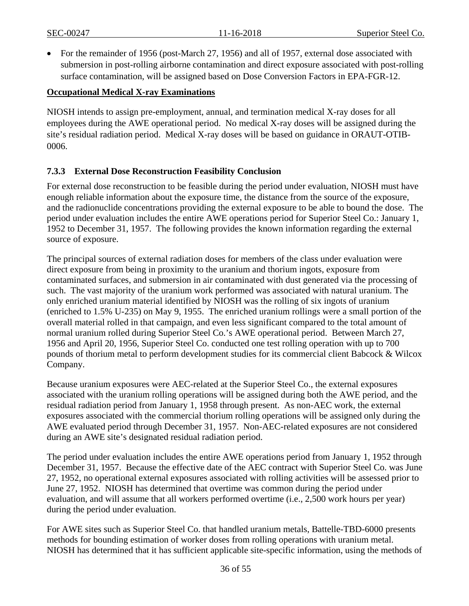• For the remainder of 1956 (post-March 27, 1956) and all of 1957, external dose associated with submersion in post-rolling airborne contamination and direct exposure associated with post-rolling surface contamination, will be assigned based on Dose Conversion Factors in EPA-FGR-12.

#### **Occupational Medical X-ray Examinations**

NIOSH intends to assign pre-employment, annual, and termination medical X-ray doses for all employees during the AWE operational period. No medical X-ray doses will be assigned during the site's residual radiation period. Medical X-ray doses will be based on guidance in ORAUT-OTIB-0006.

#### <span id="page-35-0"></span>**7.3.3 External Dose Reconstruction Feasibility Conclusion**

For external dose reconstruction to be feasible during the period under evaluation, NIOSH must have enough reliable information about the exposure time, the distance from the source of the exposure, and the radionuclide concentrations providing the external exposure to be able to bound the dose. The period under evaluation includes the entire AWE operations period for Superior Steel Co.: January 1, 1952 to December 31, 1957. The following provides the known information regarding the external source of exposure.

The principal sources of external radiation doses for members of the class under evaluation were direct exposure from being in proximity to the uranium and thorium ingots, exposure from contaminated surfaces, and submersion in air contaminated with dust generated via the processing of such. The vast majority of the uranium work performed was associated with natural uranium. The only enriched uranium material identified by NIOSH was the rolling of six ingots of uranium (enriched to 1.5% U-235) on May 9, 1955. The enriched uranium rollings were a small portion of the overall material rolled in that campaign, and even less significant compared to the total amount of normal uranium rolled during Superior Steel Co.'s AWE operational period. Between March 27, 1956 and April 20, 1956, Superior Steel Co. conducted one test rolling operation with up to 700 pounds of thorium metal to perform development studies for its commercial client Babcock & Wilcox Company.

Because uranium exposures were AEC-related at the Superior Steel Co., the external exposures associated with the uranium rolling operations will be assigned during both the AWE period, and the residual radiation period from January 1, 1958 through present. As non-AEC work, the external exposures associated with the commercial thorium rolling operations will be assigned only during the AWE evaluated period through December 31, 1957. Non-AEC-related exposures are not considered during an AWE site's designated residual radiation period.

The period under evaluation includes the entire AWE operations period from January 1, 1952 through December 31, 1957. Because the effective date of the AEC contract with Superior Steel Co. was June 27, 1952, no operational external exposures associated with rolling activities will be assessed prior to June 27, 1952. NIOSH has determined that overtime was common during the period under evaluation, and will assume that all workers performed overtime (i.e., 2,500 work hours per year) during the period under evaluation.

For AWE sites such as Superior Steel Co. that handled uranium metals, Battelle-TBD-6000 presents methods for bounding estimation of worker doses from rolling operations with uranium metal. NIOSH has determined that it has sufficient applicable site-specific information, using the methods of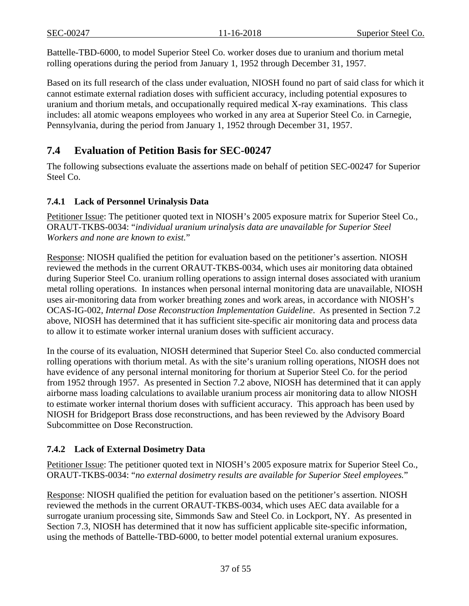| SEC-00247 | 11-16-2018 | Superior Steel Co. |
|-----------|------------|--------------------|
|           |            |                    |

Battelle-TBD-6000, to model Superior Steel Co. worker doses due to uranium and thorium metal rolling operations during the period from January 1, 1952 through December 31, 1957.

Based on its full research of the class under evaluation, NIOSH found no part of said class for which it cannot estimate external radiation doses with sufficient accuracy, including potential exposures to uranium and thorium metals, and occupationally required medical X-ray examinations. This class includes: all atomic weapons employees who worked in any area at Superior Steel Co. in Carnegie, Pennsylvania, during the period from January 1, 1952 through December 31, 1957.

### <span id="page-36-0"></span>**7.4 Evaluation of Petition Basis for SEC-00247**

The following subsections evaluate the assertions made on behalf of petition SEC-00247 for Superior Steel Co.

#### <span id="page-36-1"></span>**7.4.1 Lack of Personnel Urinalysis Data**

Petitioner Issue: The petitioner quoted text in NIOSH's 2005 exposure matrix for Superior Steel Co., ORAUT-TKBS-0034: "*individual uranium urinalysis data are unavailable for Superior Steel Workers and none are known to exist.*"

Response: NIOSH qualified the petition for evaluation based on the petitioner's assertion. NIOSH reviewed the methods in the current ORAUT-TKBS-0034, which uses air monitoring data obtained during Superior Steel Co. uranium rolling operations to assign internal doses associated with uranium metal rolling operations. In instances when personal internal monitoring data are unavailable, NIOSH uses air-monitoring data from worker breathing zones and work areas, in accordance with NIOSH's OCAS-IG-002, *Internal Dose Reconstruction Implementation Guideline*. As presented in Section 7.2 above, NIOSH has determined that it has sufficient site-specific air monitoring data and process data to allow it to estimate worker internal uranium doses with sufficient accuracy.

In the course of its evaluation, NIOSH determined that Superior Steel Co. also conducted commercial rolling operations with thorium metal. As with the site's uranium rolling operations, NIOSH does not have evidence of any personal internal monitoring for thorium at Superior Steel Co. for the period from 1952 through 1957. As presented in Section 7.2 above, NIOSH has determined that it can apply airborne mass loading calculations to available uranium process air monitoring data to allow NIOSH to estimate worker internal thorium doses with sufficient accuracy. This approach has been used by NIOSH for Bridgeport Brass dose reconstructions, and has been reviewed by the Advisory Board Subcommittee on Dose Reconstruction.

#### <span id="page-36-2"></span>**7.4.2 Lack of External Dosimetry Data**

Petitioner Issue: The petitioner quoted text in NIOSH's 2005 exposure matrix for Superior Steel Co., ORAUT-TKBS-0034: "*no external dosimetry results are available for Superior Steel employees.*"

Response: NIOSH qualified the petition for evaluation based on the petitioner's assertion. NIOSH reviewed the methods in the current ORAUT-TKBS-0034, which uses AEC data available for a surrogate uranium processing site, Simmonds Saw and Steel Co. in Lockport, NY. As presented in Section 7.3, NIOSH has determined that it now has sufficient applicable site-specific information, using the methods of Battelle-TBD-6000, to better model potential external uranium exposures.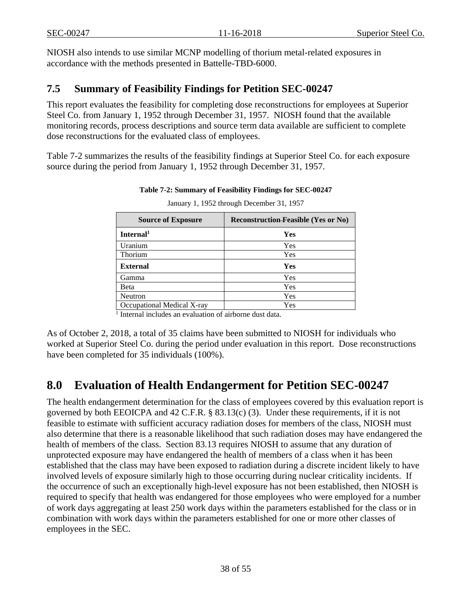NIOSH also intends to use similar MCNP modelling of thorium metal-related exposures in accordance with the methods presented in Battelle-TBD-6000.

### <span id="page-37-0"></span>**7.5 Summary of Feasibility Findings for Petition SEC-00247**

This report evaluates the feasibility for completing dose reconstructions for employees at Superior Steel Co. from January 1, 1952 through December 31, 1957. NIOSH found that the available monitoring records, process descriptions and source term data available are sufficient to complete dose reconstructions for the evaluated class of employees.

<span id="page-37-2"></span>Table 7-2 summarizes the results of the feasibility findings at Superior Steel Co. for each exposure source during the period from January 1, 1952 through December 31, 1957.

| <b>Source of Exposure</b>  | <b>Reconstruction-Feasible (Yes or No)</b> |
|----------------------------|--------------------------------------------|
| Internal <sup>1</sup>      | Yes                                        |
| Uranium                    | Yes                                        |
| Thorium                    | Yes                                        |
| <b>External</b>            | Yes                                        |
| Gamma                      | Yes                                        |
| Beta                       | Yes                                        |
| Neutron                    | Yes                                        |
| Occupational Medical X-ray | Yes                                        |

| Table 7-2: Summary of Feasibility Findings for SEC-00247 |  |
|----------------------------------------------------------|--|
| January 1, 1952 through December 31, 1957                |  |

 $\frac{1}{1}$  Internal includes an evaluation of airborne dust data.

As of October 2, 2018, a total of 35 claims have been submitted to NIOSH for individuals who worked at Superior Steel Co. during the period under evaluation in this report. Dose reconstructions have been completed for 35 individuals (100%).

### <span id="page-37-1"></span>**8.0 Evaluation of Health Endangerment for Petition SEC-00247**

The health endangerment determination for the class of employees covered by this evaluation report is governed by both EEOICPA and 42 C.F.R. § 83.13(c) (3). Under these requirements, if it is not feasible to estimate with sufficient accuracy radiation doses for members of the class, NIOSH must also determine that there is a reasonable likelihood that such radiation doses may have endangered the health of members of the class. Section 83.13 requires NIOSH to assume that any duration of unprotected exposure may have endangered the health of members of a class when it has been established that the class may have been exposed to radiation during a discrete incident likely to have involved levels of exposure similarly high to those occurring during nuclear criticality incidents. If the occurrence of such an exceptionally high-level exposure has not been established, then NIOSH is required to specify that health was endangered for those employees who were employed for a number of work days aggregating at least 250 work days within the parameters established for the class or in combination with work days within the parameters established for one or more other classes of employees in the SEC.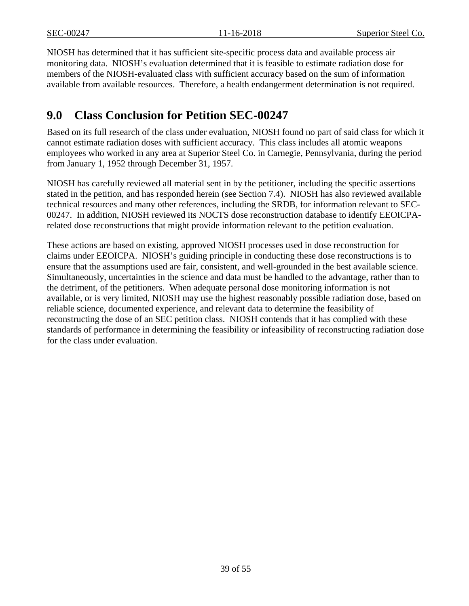NIOSH has determined that it has sufficient site-specific process data and available process air monitoring data. NIOSH's evaluation determined that it is feasible to estimate radiation dose for members of the NIOSH-evaluated class with sufficient accuracy based on the sum of information available from available resources. Therefore, a health endangerment determination is not required.

# <span id="page-38-0"></span>**9.0 Class Conclusion for Petition SEC-00247**

Based on its full research of the class under evaluation, NIOSH found no part of said class for which it cannot estimate radiation doses with sufficient accuracy. This class includes all atomic weapons employees who worked in any area at Superior Steel Co. in Carnegie, Pennsylvania, during the period from January 1, 1952 through December 31, 1957.

NIOSH has carefully reviewed all material sent in by the petitioner, including the specific assertions stated in the petition, and has responded herein (see Section 7.4). NIOSH has also reviewed available technical resources and many other references, including the SRDB, for information relevant to SEC-00247. In addition, NIOSH reviewed its NOCTS dose reconstruction database to identify EEOICPArelated dose reconstructions that might provide information relevant to the petition evaluation.

These actions are based on existing, approved NIOSH processes used in dose reconstruction for claims under EEOICPA. NIOSH's guiding principle in conducting these dose reconstructions is to ensure that the assumptions used are fair, consistent, and well-grounded in the best available science. Simultaneously, uncertainties in the science and data must be handled to the advantage, rather than to the detriment, of the petitioners. When adequate personal dose monitoring information is not available, or is very limited, NIOSH may use the highest reasonably possible radiation dose, based on reliable science, documented experience, and relevant data to determine the feasibility of reconstructing the dose of an SEC petition class. NIOSH contends that it has complied with these standards of performance in determining the feasibility or infeasibility of reconstructing radiation dose for the class under evaluation.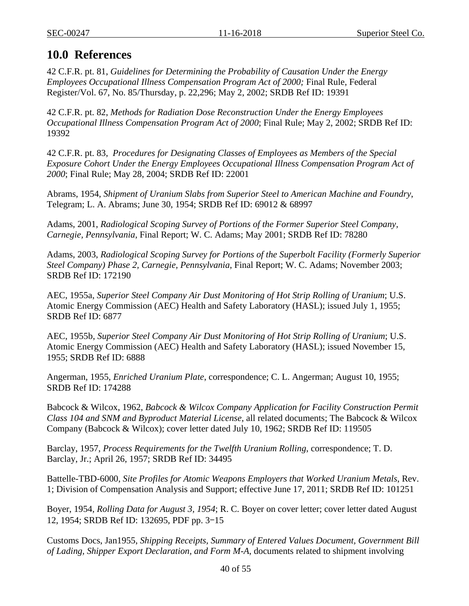# <span id="page-39-0"></span>**10.0 References**

42 C.F.R. pt. 81, *Guidelines for Determining the Probability of Causation Under the Energy Employees Occupational Illness Compensation Program Act of 2000;* Final Rule, Federal Register/Vol. 67, No. 85/Thursday, p. 22,296; May 2, 2002; SRDB Ref ID: 19391

42 C.F.R. pt. 82, *Methods for Radiation Dose Reconstruction Under the Energy Employees Occupational Illness Compensation Program Act of 2000*; Final Rule; May 2, 2002; SRDB Ref ID: 19392

42 C.F.R. pt. 83, *Procedures for Designating Classes of Employees as Members of the Special Exposure Cohort Under the Energy Employees Occupational Illness Compensation Program Act of 2000*; Final Rule; May 28, 2004; SRDB Ref ID: 22001

Abrams, 1954, *Shipment of Uranium Slabs from Superior Steel to American Machine and Foundry*, Telegram; L. A. Abrams; June 30, 1954; SRDB Ref ID: 69012 & 68997

Adams, 2001, *Radiological Scoping Survey of Portions of the Former Superior Steel Company, Carnegie, Pennsylvania*, Final Report; W. C. Adams; May 2001; SRDB Ref ID: 78280

Adams, 2003, *Radiological Scoping Survey for Portions of the Superbolt Facility (Formerly Superior Steel Company) Phase 2, Carnegie, Pennsylvania*, Final Report; W. C. Adams; November 2003; SRDB Ref ID: 172190

AEC, 1955a, *Superior Steel Company Air Dust Monitoring of Hot Strip Rolling of Uranium*; U.S. Atomic Energy Commission (AEC) Health and Safety Laboratory (HASL); issued July 1, 1955; SRDB Ref ID: 6877

AEC, 1955b, *Superior Steel Company Air Dust Monitoring of Hot Strip Rolling of Uranium*; U.S. Atomic Energy Commission (AEC) Health and Safety Laboratory (HASL); issued November 15, 1955; SRDB Ref ID: 6888

Angerman, 1955, *Enriched Uranium Plate*, correspondence; C. L. Angerman; August 10, 1955; SRDB Ref ID: 174288

Babcock & Wilcox, 1962, *Babcock & Wilcox Company Application for Facility Construction Permit Class 104 and SNM and Byproduct Material License*, all related documents; The Babcock & Wilcox Company (Babcock & Wilcox); cover letter dated July 10, 1962; SRDB Ref ID: 119505

Barclay, 1957, *Process Requirements for the Twelfth Uranium Rolling*, correspondence; T. D. Barclay, Jr.; April 26, 1957; SRDB Ref ID: 34495

Battelle-TBD-6000, *Site Profiles for Atomic Weapons Employers that Worked Uranium Metals*, Rev. 1; Division of Compensation Analysis and Support; effective June 17, 2011; SRDB Ref ID: 101251

Boyer, 1954, *Rolling Data for August 3, 1954*; R. C. Boyer on cover letter; cover letter dated August 12, 1954; SRDB Ref ID: 132695, PDF pp. 3-15

Customs Docs, Jan1955, *Shipping Receipts, Summary of Entered Values Document, Government Bill of Lading, Shipper Export Declaration, and Form M-A*, documents related to shipment involving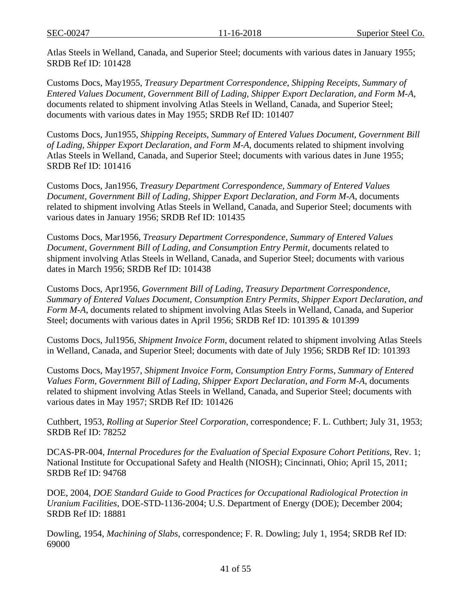Atlas Steels in Welland, Canada, and Superior Steel; documents with various dates in January 1955; SRDB Ref ID: 101428

Customs Docs, May1955, *Treasury Department Correspondence, Shipping Receipts, Summary of Entered Values Document, Government Bill of Lading, Shipper Export Declaration, and Form M-A*, documents related to shipment involving Atlas Steels in Welland, Canada, and Superior Steel; documents with various dates in May 1955; SRDB Ref ID: 101407

Customs Docs, Jun1955, *Shipping Receipts, Summary of Entered Values Document, Government Bill of Lading, Shipper Export Declaration, and Form M-A*, documents related to shipment involving Atlas Steels in Welland, Canada, and Superior Steel; documents with various dates in June 1955; SRDB Ref ID: 101416

Customs Docs, Jan1956, *Treasury Department Correspondence, Summary of Entered Values Document, Government Bill of Lading, Shipper Export Declaration, and Form M-A*, documents related to shipment involving Atlas Steels in Welland, Canada, and Superior Steel; documents with various dates in January 1956; SRDB Ref ID: 101435

Customs Docs, Mar1956, *Treasury Department Correspondence, Summary of Entered Values Document, Government Bill of Lading, and Consumption Entry Permit*, documents related to shipment involving Atlas Steels in Welland, Canada, and Superior Steel; documents with various dates in March 1956; SRDB Ref ID: 101438

Customs Docs, Apr1956, *Government Bill of Lading, Treasury Department Correspondence, Summary of Entered Values Document, Consumption Entry Permits, Shipper Export Declaration, and Form M-A*, documents related to shipment involving Atlas Steels in Welland, Canada, and Superior Steel; documents with various dates in April 1956; SRDB Ref ID: 101395 & 101399

Customs Docs, Jul1956, *Shipment Invoice Form*, document related to shipment involving Atlas Steels in Welland, Canada, and Superior Steel; documents with date of July 1956; SRDB Ref ID: 101393

Customs Docs, May1957, *Shipment Invoice Form, Consumption Entry Forms, Summary of Entered Values Form, Government Bill of Lading, Shipper Export Declaration, and Form M-A*, documents related to shipment involving Atlas Steels in Welland, Canada, and Superior Steel; documents with various dates in May 1957; SRDB Ref ID: 101426

Cuthbert, 1953, *Rolling at Superior Steel Corporation*, correspondence; F. L. Cuthbert; July 31, 1953; SRDB Ref ID: 78252

DCAS-PR-004, *Internal Procedures for the Evaluation of Special Exposure Cohort Petitions*, Rev. 1; National Institute for Occupational Safety and Health (NIOSH); Cincinnati, Ohio; April 15, 2011; SRDB Ref ID: 94768

DOE, 2004, *DOE Standard Guide to Good Practices for Occupational Radiological Protection in Uranium Facilities*, DOE-STD-1136-2004; U.S. Department of Energy (DOE); December 2004; SRDB Ref ID: 18881

Dowling, 1954, *Machining of Slabs*, correspondence; F. R. Dowling; July 1, 1954; SRDB Ref ID: 69000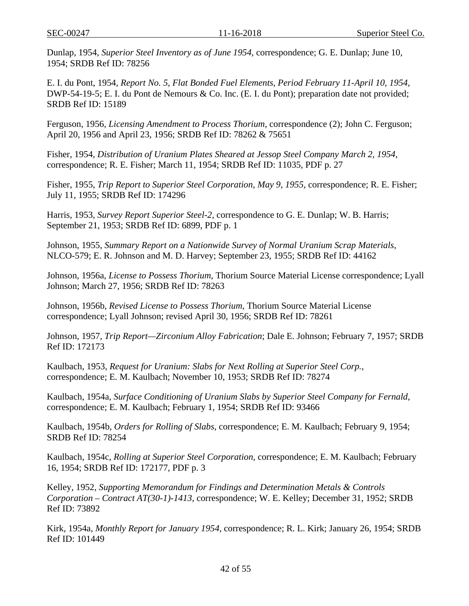Dunlap, 1954, *Superior Steel Inventory as of June 1954*, correspondence; G. E. Dunlap; June 10, 1954; SRDB Ref ID: 78256

E. I. du Pont, 1954, *Report No. 5, Flat Bonded Fuel Elements, Period February 11-April 10, 1954*, DWP-54-19-5; E. I. du Pont de Nemours & Co. Inc. (E. I. du Pont); preparation date not provided; SRDB Ref ID: 15189

Ferguson, 1956, *Licensing Amendment to Process Thorium*, correspondence (2); John C. Ferguson; April 20, 1956 and April 23, 1956; SRDB Ref ID: 78262 & 75651

Fisher, 1954, *Distribution of Uranium Plates Sheared at Jessop Steel Company March 2, 1954*, correspondence; R. E. Fisher; March 11, 1954; SRDB Ref ID: 11035, PDF p. 27

Fisher, 1955, *Trip Report to Superior Steel Corporation, May 9, 1955*, correspondence; R. E. Fisher; July 11, 1955; SRDB Ref ID: 174296

Harris, 1953, *Survey Report Superior Steel-2*, correspondence to G. E. Dunlap; W. B. Harris; September 21, 1953; SRDB Ref ID: 6899, PDF p. 1

Johnson, 1955, *Summary Report on a Nationwide Survey of Normal Uranium Scrap Materials*, NLCO-579; E. R. Johnson and M. D. Harvey; September 23, 1955; SRDB Ref ID: 44162

Johnson, 1956a, *License to Possess Thorium*, Thorium Source Material License correspondence; Lyall Johnson; March 27, 1956; SRDB Ref ID: 78263

Johnson, 1956b, *Revised License to Possess Thorium*, Thorium Source Material License correspondence; Lyall Johnson; revised April 30, 1956; SRDB Ref ID: 78261

Johnson, 1957, *Trip Report—Zirconium Alloy Fabrication*; Dale E. Johnson; February 7, 1957; SRDB Ref ID: 172173

Kaulbach, 1953, *Request for Uranium: Slabs for Next Rolling at Superior Steel Corp.*, correspondence; E. M. Kaulbach; November 10, 1953; SRDB Ref ID: 78274

Kaulbach, 1954a, *Surface Conditioning of Uranium Slabs by Superior Steel Company for Fernald*, correspondence; E. M. Kaulbach; February 1, 1954; SRDB Ref ID: 93466

Kaulbach, 1954b, *Orders for Rolling of Slabs*, correspondence; E. M. Kaulbach; February 9, 1954; SRDB Ref ID: 78254

Kaulbach, 1954c, *Rolling at Superior Steel Corporation*, correspondence; E. M. Kaulbach; February 16, 1954; SRDB Ref ID: 172177, PDF p. 3

Kelley, 1952, *Supporting Memorandum for Findings and Determination Metals & Controls Corporation – Contract AT(30-1)-1413*, correspondence; W. E. Kelley; December 31, 1952; SRDB Ref ID: 73892

Kirk, 1954a, *Monthly Report for January 1954*, correspondence; R. L. Kirk; January 26, 1954; SRDB Ref ID: 101449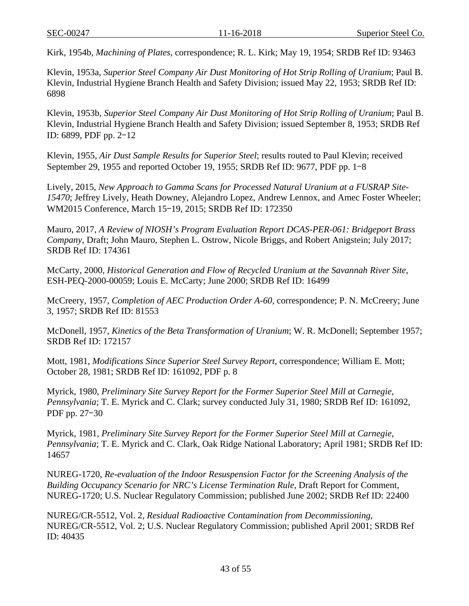Kirk, 1954b, *Machining of Plates*, correspondence; R. L. Kirk; May 19, 1954; SRDB Ref ID: 93463

Klevin, 1953a, *Superior Steel Company Air Dust Monitoring of Hot Strip Rolling of Uranium*; Paul B. Klevin, Industrial Hygiene Branch Health and Safety Division; issued May 22, 1953; SRDB Ref ID: 6898

Klevin, 1953b, *Superior Steel Company Air Dust Monitoring of Hot Strip Rolling of Uranium*; Paul B. Klevin, Industrial Hygiene Branch Health and Safety Division; issued September 8, 1953; SRDB Ref ID: 6899, PDF pp. 2-12

Klevin, 1955, *Air Dust Sample Results for Superior Steel*; results routed to Paul Klevin; received September 29, 1955 and reported October 19, 1955; SRDB Ref ID: 9677, PDF pp. 1-8

Lively, 2015, *New Approach to Gamma Scans for Processed Natural Uranium at a FUSRAP Site-15470*; Jeffrey Lively, Heath Downey, Alejandro Lopez, Andrew Lennox, and Amec Foster Wheeler; WM2015 Conference, March 15-19, 2015; SRDB Ref ID: 172350

Mauro, 2017, *A Review of NIOSH's Program Evaluation Report DCAS-PER-061: Bridgeport Brass Company*, Draft; John Mauro, Stephen L. Ostrow, Nicole Briggs, and Robert Anigstein; July 2017; SRDB Ref ID: 174361

McCarty, 2000, *Historical Generation and Flow of Recycled Uranium at the Savannah River Site*, ESH-PEQ-2000-00059; Louis E. McCarty; June 2000; SRDB Ref ID: 16499

McCreery, 1957, *Completion of AEC Production Order A-60*, correspondence; P. N. McCreery; June 3, 1957; SRDB Ref ID: 81553

McDonell, 1957, *Kinetics of the Beta Transformation of Uranium*; W. R. McDonell; September 1957; SRDB Ref ID: 172157

Mott, 1981, *Modifications Since Superior Steel Survey Report*, correspondence; William E. Mott; October 28, 1981; SRDB Ref ID: 161092, PDF p. 8

Myrick, 1980, *Preliminary Site Survey Report for the Former Superior Steel Mill at Carnegie, Pennsylvania*; T. E. Myrick and C. Clark; survey conducted July 31, 1980; SRDB Ref ID: 161092, PDF pp. 27-30

Myrick, 1981, *Preliminary Site Survey Report for the Former Superior Steel Mill at Carnegie, Pennsylvania*; T. E. Myrick and C. Clark, Oak Ridge National Laboratory; April 1981; SRDB Ref ID: 14657

NUREG-1720, *Re-evaluation of the Indoor Resuspension Factor for the Screening Analysis of the Building Occupancy Scenario for NRC's License Termination Rule*, Draft Report for Comment, NUREG-1720; U.S. Nuclear Regulatory Commission; published June 2002; SRDB Ref ID: 22400

NUREG/CR-5512, Vol. 2, *Residual Radioactive Contamination from Decommissioning*, NUREG/CR-5512, Vol. 2; U.S. Nuclear Regulatory Commission; published April 2001; SRDB Ref ID: 40435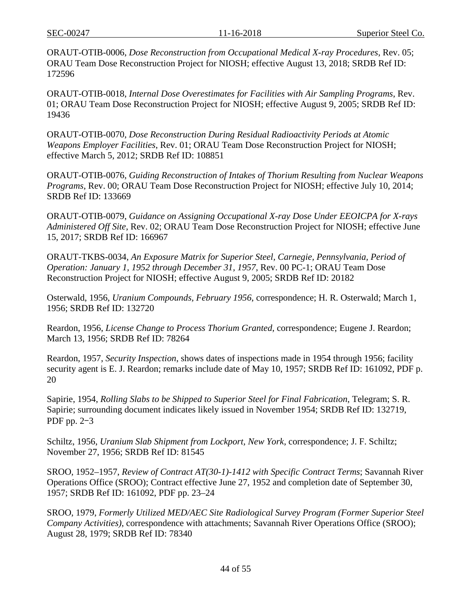ORAUT-OTIB-0006, *Dose Reconstruction from Occupational Medical X-ray Procedures*, Rev. 05; ORAU Team Dose Reconstruction Project for NIOSH; effective August 13, 2018; SRDB Ref ID: 172596

ORAUT-OTIB-0018, *Internal Dose Overestimates for Facilities with Air Sampling Programs*, Rev. 01; ORAU Team Dose Reconstruction Project for NIOSH; effective August 9, 2005; SRDB Ref ID: 19436

ORAUT-OTIB-0070, *Dose Reconstruction During Residual Radioactivity Periods at Atomic Weapons Employer Facilities*, Rev. 01; ORAU Team Dose Reconstruction Project for NIOSH; effective March 5, 2012; SRDB Ref ID: 108851

ORAUT-OTIB-0076, *Guiding Reconstruction of Intakes of Thorium Resulting from Nuclear Weapons Programs*, Rev. 00; ORAU Team Dose Reconstruction Project for NIOSH; effective July 10, 2014; SRDB Ref ID: 133669

ORAUT-OTIB-0079, *Guidance on Assigning Occupational X-ray Dose Under EEOICPA for X-rays Administered Off Site*, Rev. 02; ORAU Team Dose Reconstruction Project for NIOSH; effective June 15, 2017; SRDB Ref ID: 166967

ORAUT-TKBS-0034, *An Exposure Matrix for Superior Steel, Carnegie, Pennsylvania, Period of Operation: January 1, 1952 through December 31, 1957*, Rev. 00 PC-1; ORAU Team Dose Reconstruction Project for NIOSH; effective August 9, 2005; SRDB Ref ID: 20182

Osterwald, 1956, *Uranium Compounds, February 1956*, correspondence; H. R. Osterwald; March 1, 1956; SRDB Ref ID: 132720

Reardon, 1956, *License Change to Process Thorium Granted*, correspondence; Eugene J. Reardon; March 13, 1956; SRDB Ref ID: 78264

Reardon, 1957, *Security Inspection*, shows dates of inspections made in 1954 through 1956; facility security agent is E. J. Reardon; remarks include date of May 10, 1957; SRDB Ref ID: 161092, PDF p. 20

Sapirie, 1954, *Rolling Slabs to be Shipped to Superior Steel for Final Fabrication*, Telegram; S. R. Sapirie; surrounding document indicates likely issued in November 1954; SRDB Ref ID: 132719, PDF pp. 2-3

Schiltz, 1956, *Uranium Slab Shipment from Lockport, New York*, correspondence; J. F. Schiltz; November 27, 1956; SRDB Ref ID: 81545

SROO, 1952–1957, *Review of Contract AT(30-1)-1412 with Specific Contract Terms*; Savannah River Operations Office (SROO); Contract effective June 27, 1952 and completion date of September 30, 1957; SRDB Ref ID: 161092, PDF pp. 23–24

SROO, 1979, *Formerly Utilized MED/AEC Site Radiological Survey Program (Former Superior Steel Company Activities)*, correspondence with attachments; Savannah River Operations Office (SROO); August 28, 1979; SRDB Ref ID: 78340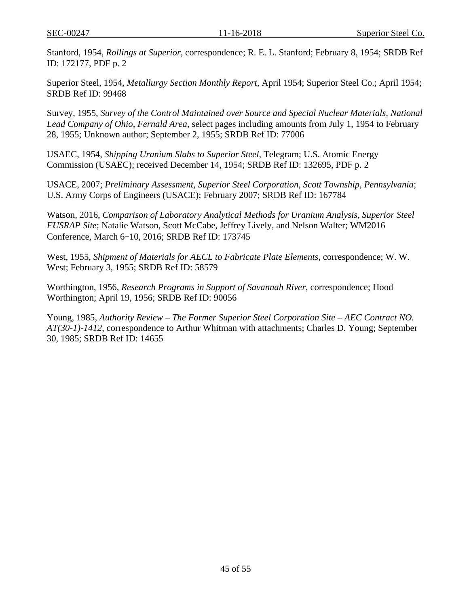Stanford, 1954, *Rollings at Superior*, correspondence; R. E. L. Stanford; February 8, 1954; SRDB Ref ID: 172177, PDF p. 2

Superior Steel, 1954, *Metallurgy Section Monthly Report*, April 1954; Superior Steel Co.; April 1954; SRDB Ref ID: 99468

Survey, 1955, *Survey of the Control Maintained over Source and Special Nuclear Materials, National Lead Company of Ohio, Fernald Area*, select pages including amounts from July 1, 1954 to February 28, 1955; Unknown author; September 2, 1955; SRDB Ref ID: 77006

USAEC, 1954, *Shipping Uranium Slabs to Superior Steel*, Telegram; U.S. Atomic Energy Commission (USAEC); received December 14, 1954; SRDB Ref ID: 132695, PDF p. 2

USACE, 2007; *Preliminary Assessment, Superior Steel Corporation, Scott Township, Pennsylvania*; U.S. Army Corps of Engineers (USACE); February 2007; SRDB Ref ID: 167784

Watson, 2016, *Comparison of Laboratory Analytical Methods for Uranium Analysis, Superior Steel FUSRAP Site*; Natalie Watson, Scott McCabe, Jeffrey Lively, and Nelson Walter; WM2016 Conference, March 6-10, 2016; SRDB Ref ID: 173745

West, 1955, *Shipment of Materials for AECL to Fabricate Plate Elements*, correspondence; W. W. West; February 3, 1955; SRDB Ref ID: 58579

Worthington, 1956, *Research Programs in Support of Savannah River*, correspondence; Hood Worthington; April 19, 1956; SRDB Ref ID: 90056

Young, 1985*, Authority Review – The Former Superior Steel Corporation Site – AEC Contract NO. AT(30-1)-1412*, correspondence to Arthur Whitman with attachments; Charles D. Young; September 30, 1985; SRDB Ref ID: 14655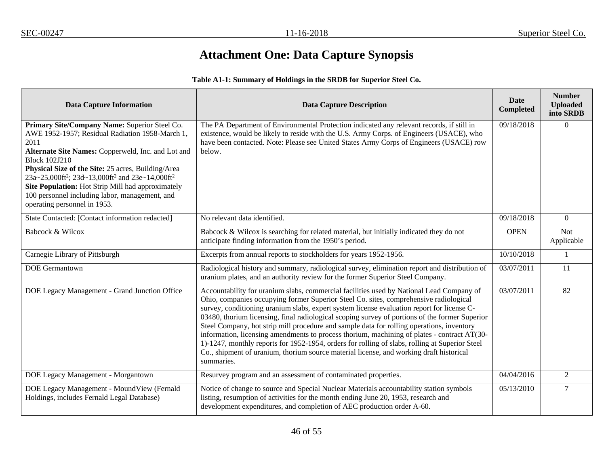# **Attachment One: Data Capture Synopsis**

#### **Table A1-1: Summary of Holdings in the SRDB for Superior Steel Co.**

<span id="page-45-1"></span><span id="page-45-0"></span>

| <b>Data Capture Information</b>                                                                                                                                                                                                                                                                                                                                                                                                                                            | <b>Data Capture Description</b>                                                                                                                                                                                                                                                                                                                                                                                                                                                                                                                                                                                                                                                                                                                                                          | Date<br>Completed | <b>Number</b><br><b>Uploaded</b><br>into SRDB |
|----------------------------------------------------------------------------------------------------------------------------------------------------------------------------------------------------------------------------------------------------------------------------------------------------------------------------------------------------------------------------------------------------------------------------------------------------------------------------|------------------------------------------------------------------------------------------------------------------------------------------------------------------------------------------------------------------------------------------------------------------------------------------------------------------------------------------------------------------------------------------------------------------------------------------------------------------------------------------------------------------------------------------------------------------------------------------------------------------------------------------------------------------------------------------------------------------------------------------------------------------------------------------|-------------------|-----------------------------------------------|
| Primary Site/Company Name: Superior Steel Co.<br>AWE 1952-1957; Residual Radiation 1958-March 1,<br>2011<br>Alternate Site Names: Copperweld, Inc. and Lot and<br><b>Block 102J210</b><br>Physical Size of the Site: 25 acres, Building/Area<br>23a~25,000ft <sup>2</sup> ; 23d~13,000ft <sup>2</sup> and 23e~14,000ft <sup>2</sup><br>Site Population: Hot Strip Mill had approximately<br>100 personnel including labor, management, and<br>operating personnel in 1953. | The PA Department of Environmental Protection indicated any relevant records, if still in<br>existence, would be likely to reside with the U.S. Army Corps. of Engineers (USACE), who<br>have been contacted. Note: Please see United States Army Corps of Engineers (USACE) row<br>below.                                                                                                                                                                                                                                                                                                                                                                                                                                                                                               | 09/18/2018        | $\overline{0}$                                |
| State Contacted: [Contact information redacted]                                                                                                                                                                                                                                                                                                                                                                                                                            | No relevant data identified.                                                                                                                                                                                                                                                                                                                                                                                                                                                                                                                                                                                                                                                                                                                                                             | 09/18/2018        | $\theta$                                      |
| Babcock & Wilcox                                                                                                                                                                                                                                                                                                                                                                                                                                                           | Babcock & Wilcox is searching for related material, but initially indicated they do not<br>anticipate finding information from the 1950's period.                                                                                                                                                                                                                                                                                                                                                                                                                                                                                                                                                                                                                                        | <b>OPEN</b>       | <b>Not</b><br>Applicable                      |
| Carnegie Library of Pittsburgh                                                                                                                                                                                                                                                                                                                                                                                                                                             | Excerpts from annual reports to stockholders for years 1952-1956.                                                                                                                                                                                                                                                                                                                                                                                                                                                                                                                                                                                                                                                                                                                        | 10/10/2018        |                                               |
| <b>DOE</b> Germantown                                                                                                                                                                                                                                                                                                                                                                                                                                                      | Radiological history and summary, radiological survey, elimination report and distribution of<br>uranium plates, and an authority review for the former Superior Steel Company.                                                                                                                                                                                                                                                                                                                                                                                                                                                                                                                                                                                                          | 03/07/2011        | 11                                            |
| DOE Legacy Management - Grand Junction Office                                                                                                                                                                                                                                                                                                                                                                                                                              | Accountability for uranium slabs, commercial facilities used by National Lead Company of<br>Ohio, companies occupying former Superior Steel Co. sites, comprehensive radiological<br>survey, conditioning uranium slabs, expert system license evaluation report for license C-<br>03480, thorium licensing, final radiological scoping survey of portions of the former Superior<br>Steel Company, hot strip mill procedure and sample data for rolling operations, inventory<br>information, licensing amendments to process thorium, machining of plates - contract AT(30-<br>1)-1247, monthly reports for 1952-1954, orders for rolling of slabs, rolling at Superior Steel<br>Co., shipment of uranium, thorium source material license, and working draft historical<br>summaries. | 03/07/2011        | 82                                            |
| DOE Legacy Management - Morgantown                                                                                                                                                                                                                                                                                                                                                                                                                                         | Resurvey program and an assessment of contaminated properties.                                                                                                                                                                                                                                                                                                                                                                                                                                                                                                                                                                                                                                                                                                                           | 04/04/2016        | 2                                             |
| DOE Legacy Management - MoundView (Fernald<br>Holdings, includes Fernald Legal Database)                                                                                                                                                                                                                                                                                                                                                                                   | Notice of change to source and Special Nuclear Materials accountability station symbols<br>listing, resumption of activities for the month ending June 20, 1953, research and<br>development expenditures, and completion of AEC production order A-60.                                                                                                                                                                                                                                                                                                                                                                                                                                                                                                                                  | 05/13/2010        | $\overline{7}$                                |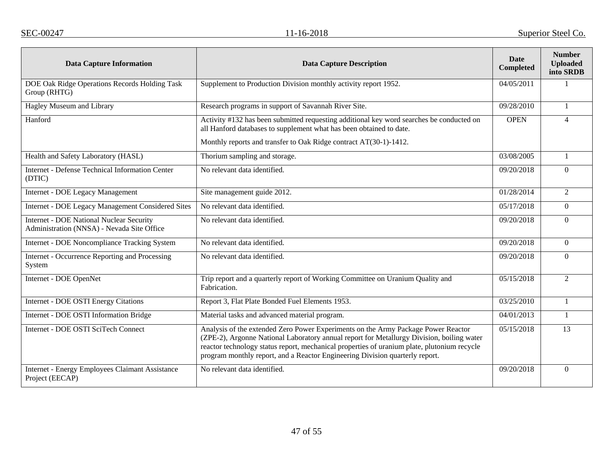| <b>Data Capture Information</b>                                                               | <b>Data Capture Description</b>                                                                                                                                                                                                                                                                                                                               | <b>Date</b><br>Completed | <b>Number</b><br><b>Uploaded</b><br>into SRDB |
|-----------------------------------------------------------------------------------------------|---------------------------------------------------------------------------------------------------------------------------------------------------------------------------------------------------------------------------------------------------------------------------------------------------------------------------------------------------------------|--------------------------|-----------------------------------------------|
| DOE Oak Ridge Operations Records Holding Task<br>Group (RHTG)                                 | Supplement to Production Division monthly activity report 1952.                                                                                                                                                                                                                                                                                               | 04/05/2011               |                                               |
| Hagley Museum and Library                                                                     | Research programs in support of Savannah River Site.                                                                                                                                                                                                                                                                                                          | 09/28/2010               | $\mathbf{1}$                                  |
| Hanford                                                                                       | Activity #132 has been submitted requesting additional key word searches be conducted on<br>all Hanford databases to supplement what has been obtained to date.                                                                                                                                                                                               | <b>OPEN</b>              | $\overline{4}$                                |
|                                                                                               | Monthly reports and transfer to Oak Ridge contract AT(30-1)-1412.                                                                                                                                                                                                                                                                                             |                          |                                               |
| Health and Safety Laboratory (HASL)                                                           | Thorium sampling and storage.                                                                                                                                                                                                                                                                                                                                 | 03/08/2005               |                                               |
| <b>Internet - Defense Technical Information Center</b><br>(DTIC)                              | No relevant data identified.                                                                                                                                                                                                                                                                                                                                  | 09/20/2018               | $\Omega$                                      |
| <b>Internet - DOE Legacy Management</b>                                                       | Site management guide 2012.                                                                                                                                                                                                                                                                                                                                   | 01/28/2014               | 2                                             |
| <b>Internet - DOE Legacy Management Considered Sites</b>                                      | No relevant data identified.                                                                                                                                                                                                                                                                                                                                  | 05/17/2018               | $\Omega$                                      |
| <b>Internet - DOE National Nuclear Security</b><br>Administration (NNSA) - Nevada Site Office | No relevant data identified.                                                                                                                                                                                                                                                                                                                                  | 09/20/2018               | $\Omega$                                      |
| <b>Internet - DOE Noncompliance Tracking System</b>                                           | No relevant data identified.                                                                                                                                                                                                                                                                                                                                  | 09/20/2018               | $\theta$                                      |
| Internet - Occurrence Reporting and Processing<br>System                                      | No relevant data identified.                                                                                                                                                                                                                                                                                                                                  | 09/20/2018               | $\Omega$                                      |
| Internet - DOE OpenNet                                                                        | Trip report and a quarterly report of Working Committee on Uranium Quality and<br>Fabrication.                                                                                                                                                                                                                                                                | 05/15/2018               | $\overline{2}$                                |
| <b>Internet - DOE OSTI Energy Citations</b>                                                   | Report 3, Flat Plate Bonded Fuel Elements 1953.                                                                                                                                                                                                                                                                                                               | 03/25/2010               | 1                                             |
| Internet - DOE OSTI Information Bridge                                                        | Material tasks and advanced material program.                                                                                                                                                                                                                                                                                                                 | 04/01/2013               | $\mathbf{1}$                                  |
| Internet - DOE OSTI SciTech Connect                                                           | Analysis of the extended Zero Power Experiments on the Army Package Power Reactor<br>(ZPE-2), Argonne National Laboratory annual report for Metallurgy Division, boiling water<br>reactor technology status report, mechanical properties of uranium plate, plutonium recycle<br>program monthly report, and a Reactor Engineering Division quarterly report. | 05/15/2018               | 13                                            |
| Internet - Energy Employees Claimant Assistance<br>Project (EECAP)                            | No relevant data identified.                                                                                                                                                                                                                                                                                                                                  | 09/20/2018               | $\overline{0}$                                |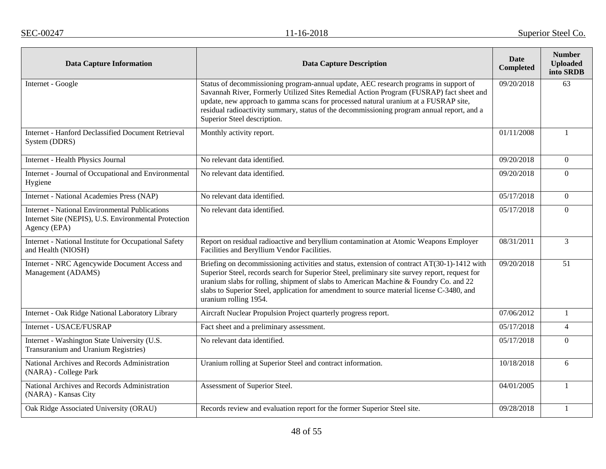| <b>Data Capture Information</b>                                                                                               | <b>Data Capture Description</b>                                                                                                                                                                                                                                                                                                                                                                              | <b>Date</b><br>Completed | <b>Number</b><br><b>Uploaded</b><br>into SRDB |
|-------------------------------------------------------------------------------------------------------------------------------|--------------------------------------------------------------------------------------------------------------------------------------------------------------------------------------------------------------------------------------------------------------------------------------------------------------------------------------------------------------------------------------------------------------|--------------------------|-----------------------------------------------|
| Internet - Google                                                                                                             | Status of decommissioning program-annual update, AEC research programs in support of<br>Savannah River, Formerly Utilized Sites Remedial Action Program (FUSRAP) fact sheet and<br>update, new approach to gamma scans for processed natural uranium at a FUSRAP site,<br>residual radioactivity summary, status of the decommissioning program annual report, and a<br>Superior Steel description.          | 09/20/2018               | 63                                            |
| Internet - Hanford Declassified Document Retrieval<br>System (DDRS)                                                           | Monthly activity report.                                                                                                                                                                                                                                                                                                                                                                                     | 01/11/2008               | -1                                            |
| Internet - Health Physics Journal                                                                                             | No relevant data identified.                                                                                                                                                                                                                                                                                                                                                                                 | 09/20/2018               | $\overline{0}$                                |
| Internet - Journal of Occupational and Environmental<br>Hygiene                                                               | No relevant data identified.                                                                                                                                                                                                                                                                                                                                                                                 | 09/20/2018               | $\Omega$                                      |
| Internet - National Academies Press (NAP)                                                                                     | No relevant data identified.                                                                                                                                                                                                                                                                                                                                                                                 | 05/17/2018               | $\mathbf{0}$                                  |
| <b>Internet - National Environmental Publications</b><br>Internet Site (NEPIS), U.S. Environmental Protection<br>Agency (EPA) | No relevant data identified.                                                                                                                                                                                                                                                                                                                                                                                 | 05/17/2018               | $\overline{0}$                                |
| Internet - National Institute for Occupational Safety<br>and Health (NIOSH)                                                   | Report on residual radioactive and beryllium contamination at Atomic Weapons Employer<br>Facilities and Beryllium Vendor Facilities.                                                                                                                                                                                                                                                                         | 08/31/2011               | 3                                             |
| Internet - NRC Agencywide Document Access and<br>Management (ADAMS)                                                           | Briefing on decommissioning activities and status, extension of contract AT(30-1)-1412 with<br>Superior Steel, records search for Superior Steel, preliminary site survey report, request for<br>uranium slabs for rolling, shipment of slabs to American Machine & Foundry Co. and 22<br>slabs to Superior Steel, application for amendment to source material license C-3480, and<br>uranium rolling 1954. | 09/20/2018               | $\overline{51}$                               |
| Internet - Oak Ridge National Laboratory Library                                                                              | Aircraft Nuclear Propulsion Project quarterly progress report.                                                                                                                                                                                                                                                                                                                                               | 07/06/2012               | $\mathbf{1}$                                  |
| Internet - USACE/FUSRAP                                                                                                       | Fact sheet and a preliminary assessment.                                                                                                                                                                                                                                                                                                                                                                     | 05/17/2018               | $\overline{4}$                                |
| Internet - Washington State University (U.S.<br>Transuranium and Uranium Registries)                                          | No relevant data identified.                                                                                                                                                                                                                                                                                                                                                                                 | 05/17/2018               | $\overline{0}$                                |
| National Archives and Records Administration<br>(NARA) - College Park                                                         | Uranium rolling at Superior Steel and contract information.                                                                                                                                                                                                                                                                                                                                                  | 10/18/2018               | 6                                             |
| National Archives and Records Administration<br>(NARA) - Kansas City                                                          | Assessment of Superior Steel.                                                                                                                                                                                                                                                                                                                                                                                | 04/01/2005               | 1                                             |
| Oak Ridge Associated University (ORAU)                                                                                        | Records review and evaluation report for the former Superior Steel site.                                                                                                                                                                                                                                                                                                                                     | 09/28/2018               | 1                                             |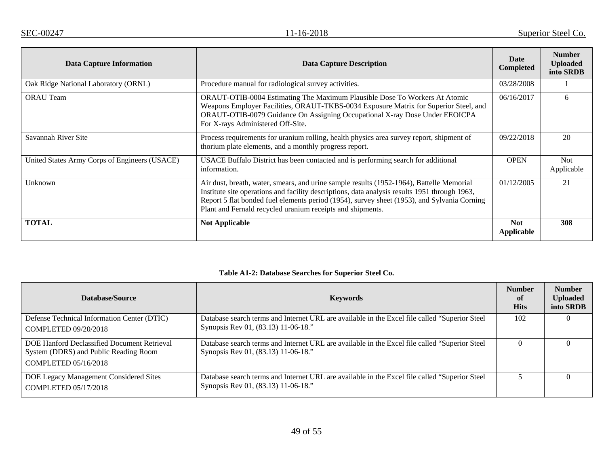| Data Capture Information                      | <b>Data Capture Description</b>                                                                                                                                                                                                                                                                                                                        | Date<br><b>Completed</b> | <b>Number</b><br><b>Uploaded</b><br>into SRDB |
|-----------------------------------------------|--------------------------------------------------------------------------------------------------------------------------------------------------------------------------------------------------------------------------------------------------------------------------------------------------------------------------------------------------------|--------------------------|-----------------------------------------------|
| Oak Ridge National Laboratory (ORNL)          | Procedure manual for radiological survey activities.                                                                                                                                                                                                                                                                                                   | 03/28/2008               |                                               |
| <b>ORAU Team</b>                              | ORAUT-OTIB-0004 Estimating The Maximum Plausible Dose To Workers At Atomic<br>Weapons Employer Facilities, ORAUT-TKBS-0034 Exposure Matrix for Superior Steel, and<br>ORAUT-OTIB-0079 Guidance On Assigning Occupational X-ray Dose Under EEOICPA<br>For X-rays Administered Off-Site.                                                                 | 06/16/2017               | 6                                             |
| Savannah River Site                           | Process requirements for uranium rolling, health physics area survey report, shipment of<br>thorium plate elements, and a monthly progress report.                                                                                                                                                                                                     | 09/22/2018               | 20                                            |
| United States Army Corps of Engineers (USACE) | USACE Buffalo District has been contacted and is performing search for additional<br>information.                                                                                                                                                                                                                                                      | <b>OPEN</b>              | <b>Not</b><br>Applicable                      |
| Unknown                                       | Air dust, breath, water, smears, and urine sample results (1952-1964), Battelle Memorial<br>Institute site operations and facility descriptions, data analysis results 1951 through 1963,<br>Report 5 flat bonded fuel elements period (1954), survey sheet (1953), and Sylvania Corning<br>Plant and Fernald recycled uranium receipts and shipments. | 01/12/2005               | 21                                            |
| <b>TOTAL</b>                                  | <b>Not Applicable</b>                                                                                                                                                                                                                                                                                                                                  | <b>Not</b><br>Applicable | <b>308</b>                                    |

#### **Table A1-2: Database Searches for Superior Steel Co.**

<span id="page-48-0"></span>

| Database/Source                                                                                              | <b>Keywords</b>                                                                                                                       | <b>Number</b><br>of<br><b>Hits</b> | <b>Number</b><br><b>Uploaded</b><br>into SRDB |
|--------------------------------------------------------------------------------------------------------------|---------------------------------------------------------------------------------------------------------------------------------------|------------------------------------|-----------------------------------------------|
| Defense Technical Information Center (DTIC)<br><b>COMPLETED 09/20/2018</b>                                   | Database search terms and Internet URL are available in the Excel file called "Superior Steel"<br>Synopsis Rev 01, (83.13) 11-06-18." | 102                                |                                               |
| DOE Hanford Declassified Document Retrieval<br>System (DDRS) and Public Reading Room<br>COMPLETED 05/16/2018 | Database search terms and Internet URL are available in the Excel file called "Superior Steel"<br>Synopsis Rev 01, (83.13) 11-06-18." | $\theta$                           |                                               |
| DOE Legacy Management Considered Sites<br><b>COMPLETED 05/17/2018</b>                                        | Database search terms and Internet URL are available in the Excel file called "Superior Steel<br>Synopsis Rev 01, (83.13) 11-06-18."  |                                    |                                               |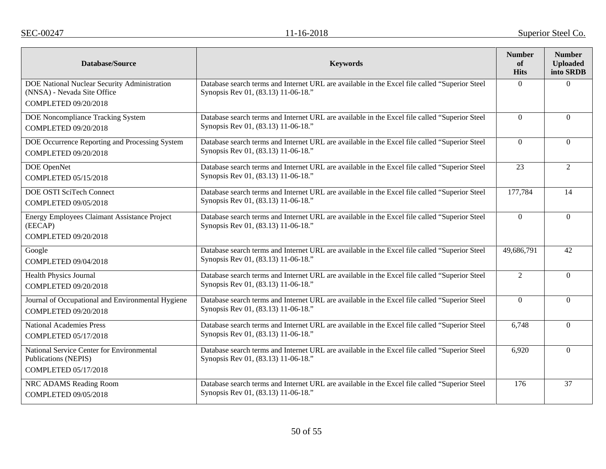| <b>Database/Source</b>                                                                              | <b>Keywords</b>                                                                                                                      | <b>Number</b><br>of<br><b>Hits</b> | <b>Number</b><br><b>Uploaded</b><br>into SRDB |
|-----------------------------------------------------------------------------------------------------|--------------------------------------------------------------------------------------------------------------------------------------|------------------------------------|-----------------------------------------------|
| DOE National Nuclear Security Administration<br>(NNSA) - Nevada Site Office<br>COMPLETED 09/20/2018 | Database search terms and Internet URL are available in the Excel file called "Superior Steel<br>Synopsis Rev 01, (83.13) 11-06-18." | $\Omega$                           | $\Omega$                                      |
| DOE Noncompliance Tracking System<br>COMPLETED 09/20/2018                                           | Database search terms and Internet URL are available in the Excel file called "Superior Steel<br>Synopsis Rev 01, (83.13) 11-06-18." | $\overline{0}$                     | $\Omega$                                      |
| DOE Occurrence Reporting and Processing System<br>COMPLETED 09/20/2018                              | Database search terms and Internet URL are available in the Excel file called "Superior Steel<br>Synopsis Rev 01, (83.13) 11-06-18." | $\mathbf{0}$                       | $\overline{0}$                                |
| DOE OpenNet<br>COMPLETED 05/15/2018                                                                 | Database search terms and Internet URL are available in the Excel file called "Superior Steel<br>Synopsis Rev 01, (83.13) 11-06-18." | 23                                 | $\overline{2}$                                |
| <b>DOE OSTI SciTech Connect</b><br>COMPLETED 09/05/2018                                             | Database search terms and Internet URL are available in the Excel file called "Superior Steel<br>Synopsis Rev 01, (83.13) 11-06-18." | 177,784                            | 14                                            |
| Energy Employees Claimant Assistance Project<br>(EECAP)<br>COMPLETED 09/20/2018                     | Database search terms and Internet URL are available in the Excel file called "Superior Steel<br>Synopsis Rev 01, (83.13) 11-06-18." | $\Omega$                           | $\Omega$                                      |
| Google<br>COMPLETED 09/04/2018                                                                      | Database search terms and Internet URL are available in the Excel file called "Superior Steel<br>Synopsis Rev 01, (83.13) 11-06-18." | 49,686,791                         | 42                                            |
| <b>Health Physics Journal</b><br>COMPLETED 09/20/2018                                               | Database search terms and Internet URL are available in the Excel file called "Superior Steel<br>Synopsis Rev 01, (83.13) 11-06-18." | $\overline{2}$                     | $\overline{0}$                                |
| Journal of Occupational and Environmental Hygiene<br>COMPLETED 09/20/2018                           | Database search terms and Internet URL are available in the Excel file called "Superior Steel<br>Synopsis Rev 01, (83.13) 11-06-18." | $\overline{0}$                     | $\Omega$                                      |
| <b>National Academies Press</b><br>COMPLETED 05/17/2018                                             | Database search terms and Internet URL are available in the Excel file called "Superior Steel<br>Synopsis Rev 01, (83.13) 11-06-18." | 6,748                              | $\overline{0}$                                |
| National Service Center for Environmental<br>Publications (NEPIS)<br>COMPLETED 05/17/2018           | Database search terms and Internet URL are available in the Excel file called "Superior Steel<br>Synopsis Rev 01, (83.13) 11-06-18." | 6,920                              | $\mathbf{0}$                                  |
| NRC ADAMS Reading Room<br>COMPLETED 09/05/2018                                                      | Database search terms and Internet URL are available in the Excel file called "Superior Steel<br>Synopsis Rev 01, (83.13) 11-06-18." | 176                                | 37                                            |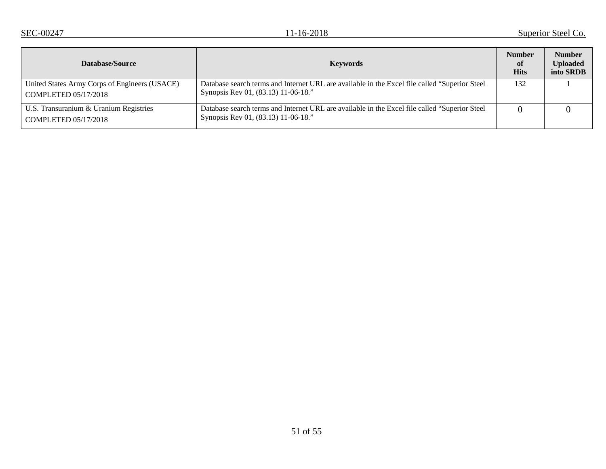| Database/Source                                                              | <b>Keywords</b>                                                                                                                       | <b>Number</b><br>of<br><b>Hits</b> | <b>Number</b><br><b>Uploaded</b><br>into SRDB |
|------------------------------------------------------------------------------|---------------------------------------------------------------------------------------------------------------------------------------|------------------------------------|-----------------------------------------------|
| United States Army Corps of Engineers (USACE)<br><b>COMPLETED 05/17/2018</b> | Database search terms and Internet URL are available in the Excel file called "Superior Steel"<br>Synopsis Rev 01, (83.13) 11-06-18." | 132                                |                                               |
| U.S. Transuranium & Uranium Registries<br><b>COMPLETED 05/17/2018</b>        | Database search terms and Internet URL are available in the Excel file called "Superior Steel"<br>Synopsis Rev 01, (83.13) 11-06-18." |                                    |                                               |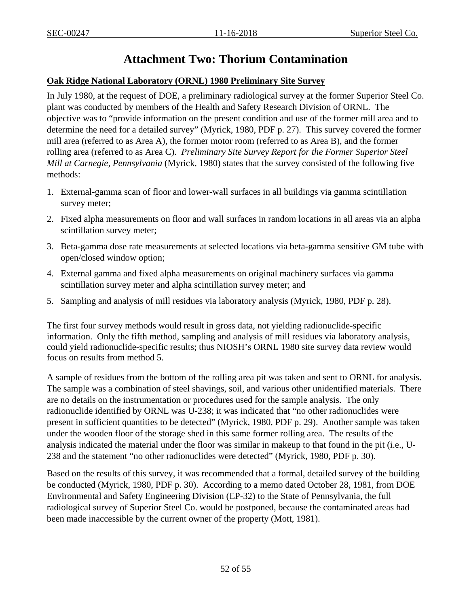## **Attachment Two: Thorium Contamination**

#### <span id="page-51-0"></span>**Oak Ridge National Laboratory (ORNL) 1980 Preliminary Site Survey**

In July 1980, at the request of DOE, a preliminary radiological survey at the former Superior Steel Co. plant was conducted by members of the Health and Safety Research Division of ORNL. The objective was to "provide information on the present condition and use of the former mill area and to determine the need for a detailed survey" (Myrick, 1980, PDF p. 27). This survey covered the former mill area (referred to as Area A), the former motor room (referred to as Area B), and the former rolling area (referred to as Area C). *Preliminary Site Survey Report for the Former Superior Steel Mill at Carnegie, Pennsylvania* (Myrick, 1980) states that the survey consisted of the following five methods:

- 1. External-gamma scan of floor and lower-wall surfaces in all buildings via gamma scintillation survey meter;
- 2. Fixed alpha measurements on floor and wall surfaces in random locations in all areas via an alpha scintillation survey meter;
- 3. Beta-gamma dose rate measurements at selected locations via beta-gamma sensitive GM tube with open/closed window option;
- 4. External gamma and fixed alpha measurements on original machinery surfaces via gamma scintillation survey meter and alpha scintillation survey meter; and
- 5. Sampling and analysis of mill residues via laboratory analysis (Myrick, 1980, PDF p. 28).

The first four survey methods would result in gross data, not yielding radionuclide-specific information. Only the fifth method, sampling and analysis of mill residues via laboratory analysis, could yield radionuclide-specific results; thus NIOSH's ORNL 1980 site survey data review would focus on results from method 5.

A sample of residues from the bottom of the rolling area pit was taken and sent to ORNL for analysis. The sample was a combination of steel shavings, soil, and various other unidentified materials. There are no details on the instrumentation or procedures used for the sample analysis. The only radionuclide identified by ORNL was U-238; it was indicated that "no other radionuclides were present in sufficient quantities to be detected" (Myrick, 1980, PDF p. 29). Another sample was taken under the wooden floor of the storage shed in this same former rolling area. The results of the analysis indicated the material under the floor was similar in makeup to that found in the pit (i.e., U-238 and the statement "no other radionuclides were detected" (Myrick, 1980, PDF p. 30).

Based on the results of this survey, it was recommended that a formal, detailed survey of the building be conducted (Myrick, 1980, PDF p. 30). According to a memo dated October 28, 1981, from DOE Environmental and Safety Engineering Division (EP-32) to the State of Pennsylvania, the full radiological survey of Superior Steel Co. would be postponed, because the contaminated areas had been made inaccessible by the current owner of the property (Mott, 1981).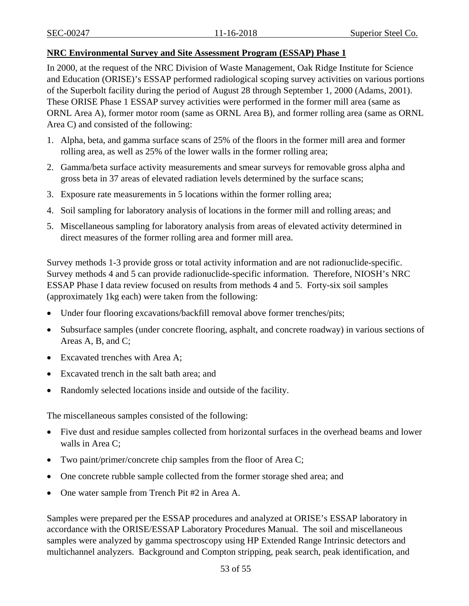#### **NRC Environmental Survey and Site Assessment Program (ESSAP) Phase 1**

In 2000, at the request of the NRC Division of Waste Management, Oak Ridge Institute for Science and Education (ORISE)'s ESSAP performed radiological scoping survey activities on various portions of the Superbolt facility during the period of August 28 through September 1, 2000 (Adams, 2001). These ORISE Phase 1 ESSAP survey activities were performed in the former mill area (same as ORNL Area A), former motor room (same as ORNL Area B), and former rolling area (same as ORNL Area C) and consisted of the following:

- 1. Alpha, beta, and gamma surface scans of 25% of the floors in the former mill area and former rolling area, as well as 25% of the lower walls in the former rolling area;
- 2. Gamma/beta surface activity measurements and smear surveys for removable gross alpha and gross beta in 37 areas of elevated radiation levels determined by the surface scans;
- 3. Exposure rate measurements in 5 locations within the former rolling area;
- 4. Soil sampling for laboratory analysis of locations in the former mill and rolling areas; and
- 5. Miscellaneous sampling for laboratory analysis from areas of elevated activity determined in direct measures of the former rolling area and former mill area.

Survey methods 1-3 provide gross or total activity information and are not radionuclide-specific. Survey methods 4 and 5 can provide radionuclide-specific information. Therefore, NIOSH's NRC ESSAP Phase I data review focused on results from methods 4 and 5. Forty-six soil samples (approximately 1kg each) were taken from the following:

- Under four flooring excavations/backfill removal above former trenches/pits;
- Subsurface samples (under concrete flooring, asphalt, and concrete roadway) in various sections of Areas A, B, and C;
- Excavated trenches with Area A;
- Excavated trench in the salt bath area; and
- Randomly selected locations inside and outside of the facility.

The miscellaneous samples consisted of the following:

- Five dust and residue samples collected from horizontal surfaces in the overhead beams and lower walls in Area C;
- Two paint/primer/concrete chip samples from the floor of Area C;
- One concrete rubble sample collected from the former storage shed area; and
- One water sample from Trench Pit #2 in Area A.

Samples were prepared per the ESSAP procedures and analyzed at ORISE's ESSAP laboratory in accordance with the ORISE/ESSAP Laboratory Procedures Manual. The soil and miscellaneous samples were analyzed by gamma spectroscopy using HP Extended Range Intrinsic detectors and multichannel analyzers. Background and Compton stripping, peak search, peak identification, and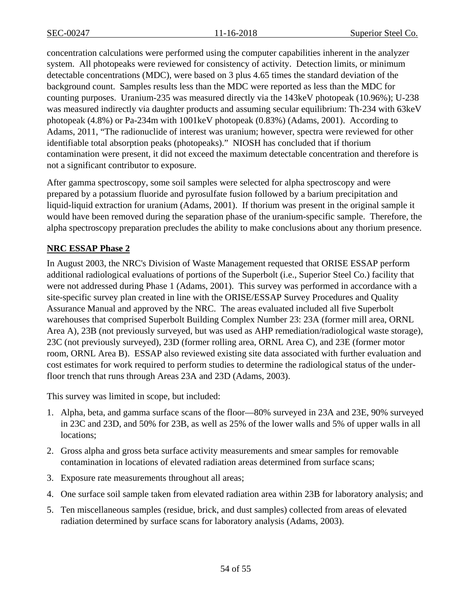concentration calculations were performed using the computer capabilities inherent in the analyzer system. All photopeaks were reviewed for consistency of activity. Detection limits, or minimum detectable concentrations (MDC), were based on 3 plus 4.65 times the standard deviation of the background count. Samples results less than the MDC were reported as less than the MDC for counting purposes. Uranium-235 was measured directly via the 143keV photopeak (10.96%); U-238 was measured indirectly via daughter products and assuming secular equilibrium: Th-234 with 63keV photopeak (4.8%) or Pa-234m with 1001keV photopeak (0.83%) (Adams, 2001). According to Adams, 2011, "The radionuclide of interest was uranium; however, spectra were reviewed for other identifiable total absorption peaks (photopeaks)." NIOSH has concluded that if thorium contamination were present, it did not exceed the maximum detectable concentration and therefore is not a significant contributor to exposure.

After gamma spectroscopy, some soil samples were selected for alpha spectroscopy and were prepared by a potassium fluoride and pyrosulfate fusion followed by a barium precipitation and liquid-liquid extraction for uranium (Adams, 2001). If thorium was present in the original sample it would have been removed during the separation phase of the uranium-specific sample. Therefore, the alpha spectroscopy preparation precludes the ability to make conclusions about any thorium presence.

#### **NRC ESSAP Phase 2**

In August 2003, the NRC's Division of Waste Management requested that ORISE ESSAP perform additional radiological evaluations of portions of the Superbolt (i.e., Superior Steel Co.) facility that were not addressed during Phase 1 (Adams, 2001). This survey was performed in accordance with a site-specific survey plan created in line with the ORISE/ESSAP Survey Procedures and Quality Assurance Manual and approved by the NRC. The areas evaluated included all five Superbolt warehouses that comprised Superbolt Building Complex Number 23: 23A (former mill area, ORNL Area A), 23B (not previously surveyed, but was used as AHP remediation/radiological waste storage), 23C (not previously surveyed), 23D (former rolling area, ORNL Area C), and 23E (former motor room, ORNL Area B). ESSAP also reviewed existing site data associated with further evaluation and cost estimates for work required to perform studies to determine the radiological status of the underfloor trench that runs through Areas 23A and 23D (Adams, 2003).

This survey was limited in scope, but included:

- 1. Alpha, beta, and gamma surface scans of the floor—80% surveyed in 23A and 23E, 90% surveyed in 23C and 23D, and 50% for 23B, as well as 25% of the lower walls and 5% of upper walls in all locations;
- 2. Gross alpha and gross beta surface activity measurements and smear samples for removable contamination in locations of elevated radiation areas determined from surface scans;
- 3. Exposure rate measurements throughout all areas;
- 4. One surface soil sample taken from elevated radiation area within 23B for laboratory analysis; and
- 5. Ten miscellaneous samples (residue, brick, and dust samples) collected from areas of elevated radiation determined by surface scans for laboratory analysis (Adams, 2003).